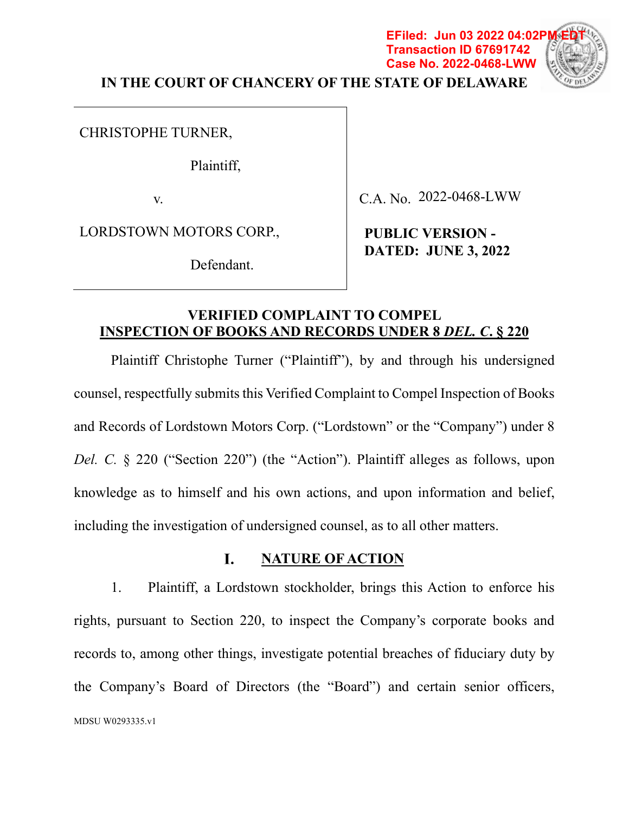# **IN THE COURT OF CHANCERY OF THE STATE OF DELAWARE**

**EFiled: Jun 03 2022 04:02P** 

CHRISTOPHE TURNER,

Plaintiff,

v.

C.A. No. 2022-0468-LWW

**Transaction ID 67691742 Case No. 2022-0468-LWW**

LORDSTOWN MOTORS CORP.,

Defendant.

**PUBLIC VERSION - DATED: JUNE 3, 2022**

# **VERIFIED COMPLAINT TO COMPEL INSPECTION OF BOOKS AND RECORDS UNDER 8** *DEL. C***. § 220**

Plaintiff Christophe Turner ("Plaintiff"), by and through his undersigned counsel, respectfully submits this Verified Complaint to Compel Inspection of Books and Records of Lordstown Motors Corp. ("Lordstown" or the "Company") under 8 *Del. C.* § 220 ("Section 220") (the "Action"). Plaintiff alleges as follows, upon knowledge as to himself and his own actions, and upon information and belief, including the investigation of undersigned counsel, as to all other matters.

#### I. **NATURE OF ACTION**

1. Plaintiff, a Lordstown stockholder, brings this Action to enforce his rights, pursuant to Section 220, to inspect the Company's corporate books and records to, among other things, investigate potential breaches of fiduciary duty by the Company's Board of Directors (the "Board") and certain senior officers, MDSU W0293335.v1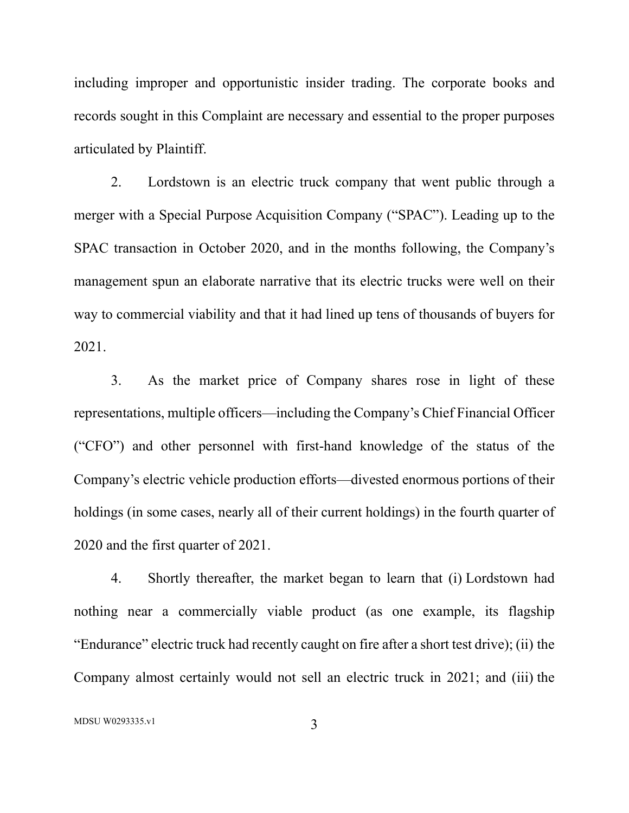including improper and opportunistic insider trading. The corporate books and records sought in this Complaint are necessary and essential to the proper purposes articulated by Plaintiff.

2. Lordstown is an electric truck company that went public through a merger with a Special Purpose Acquisition Company ("SPAC"). Leading up to the SPAC transaction in October 2020, and in the months following, the Company's management spun an elaborate narrative that its electric trucks were well on their way to commercial viability and that it had lined up tens of thousands of buyers for 2021.

3. As the market price of Company shares rose in light of these representations, multiple officers—including the Company's Chief Financial Officer ("CFO") and other personnel with first-hand knowledge of the status of the Company's electric vehicle production efforts—divested enormous portions of their holdings (in some cases, nearly all of their current holdings) in the fourth quarter of 2020 and the first quarter of 2021.

4. Shortly thereafter, the market began to learn that (i) Lordstown had nothing near a commercially viable product (as one example, its flagship "Endurance" electric truck had recently caught on fire after a short test drive); (ii) the Company almost certainly would not sell an electric truck in 2021; and (iii) the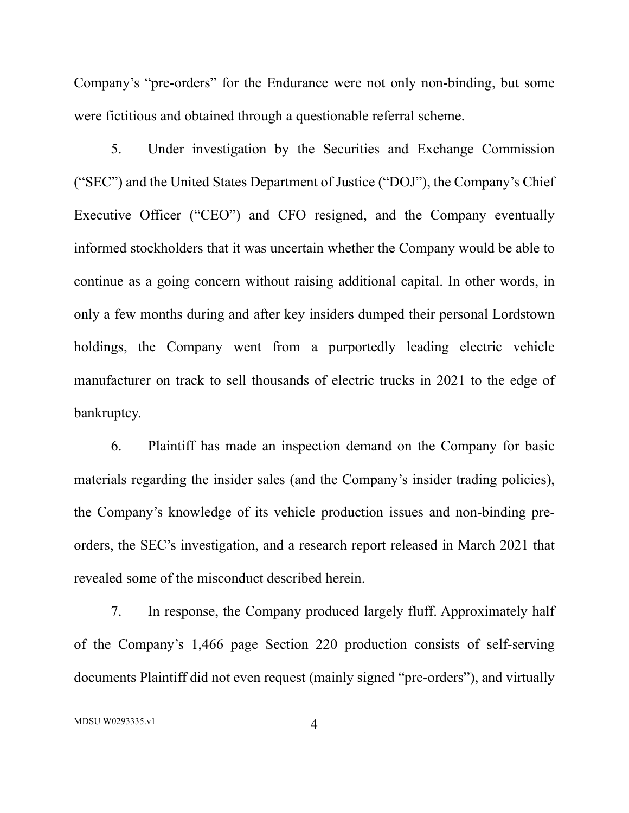Company's "pre-orders" for the Endurance were not only non-binding, but some were fictitious and obtained through a questionable referral scheme.

5. Under investigation by the Securities and Exchange Commission ("SEC") and the United States Department of Justice ("DOJ"), the Company's Chief Executive Officer ("CEO") and CFO resigned, and the Company eventually informed stockholders that it was uncertain whether the Company would be able to continue as a going concern without raising additional capital. In other words, in only a few months during and after key insiders dumped their personal Lordstown holdings, the Company went from a purportedly leading electric vehicle manufacturer on track to sell thousands of electric trucks in 2021 to the edge of bankruptcy.

6. Plaintiff has made an inspection demand on the Company for basic materials regarding the insider sales (and the Company's insider trading policies), the Company's knowledge of its vehicle production issues and non-binding preorders, the SEC's investigation, and a research report released in March 2021 that revealed some of the misconduct described herein.

7. In response, the Company produced largely fluff. Approximately half of the Company's 1,466 page Section 220 production consists of self-serving documents Plaintiff did not even request (mainly signed "pre-orders"), and virtually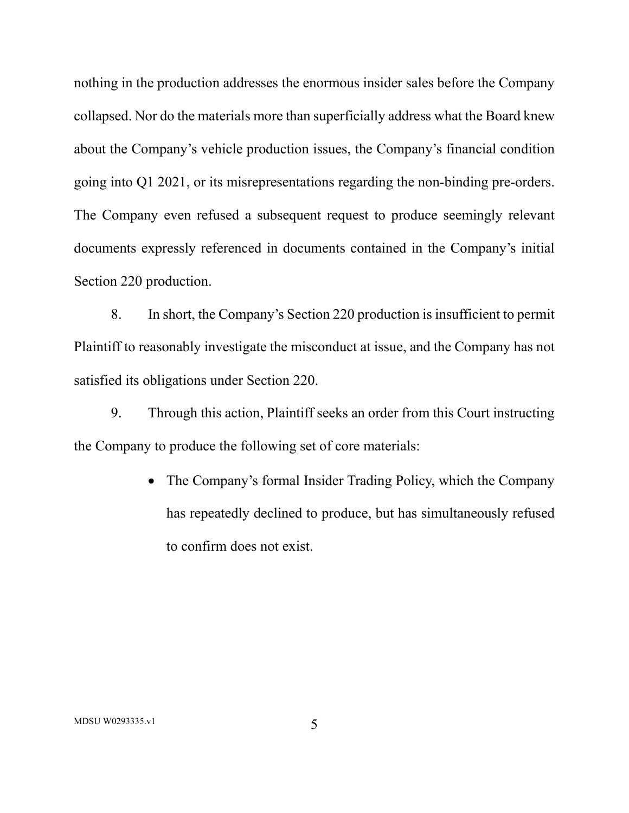nothing in the production addresses the enormous insider sales before the Company collapsed. Nor do the materials more than superficially address what the Board knew about the Company's vehicle production issues, the Company's financial condition going into Q1 2021, or its misrepresentations regarding the non-binding pre-orders. The Company even refused a subsequent request to produce seemingly relevant documents expressly referenced in documents contained in the Company's initial Section 220 production.

8. In short, the Company's Section 220 production is insufficient to permit Plaintiff to reasonably investigate the misconduct at issue, and the Company has not satisfied its obligations under Section 220.

9. Through this action, Plaintiff seeks an order from this Court instructing the Company to produce the following set of core materials:

> • The Company's formal Insider Trading Policy, which the Company has repeatedly declined to produce, but has simultaneously refused to confirm does not exist.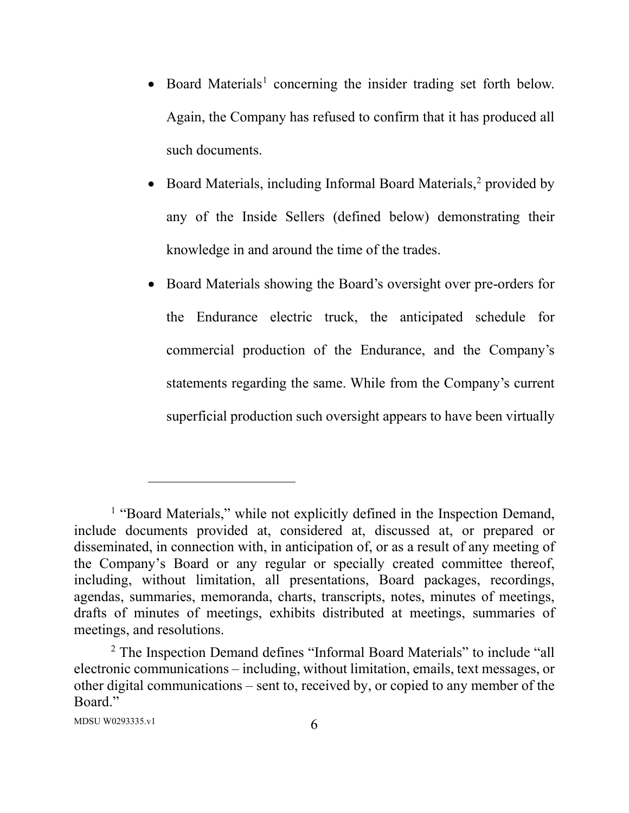- Board Materials<sup>1</sup> concerning the insider trading set forth below. Again, the Company has refused to confirm that it has produced all such documents.
- Board Materials, including Informal Board Materials, $<sup>2</sup>$  provided by</sup> any of the Inside Sellers (defined below) demonstrating their knowledge in and around the time of the trades.
- Board Materials showing the Board's oversight over pre-orders for the Endurance electric truck, the anticipated schedule for commercial production of the Endurance, and the Company's statements regarding the same. While from the Company's current superficial production such oversight appears to have been virtually

<sup>&</sup>lt;sup>1</sup> "Board Materials," while not explicitly defined in the Inspection Demand, include documents provided at, considered at, discussed at, or prepared or disseminated, in connection with, in anticipation of, or as a result of any meeting of the Company's Board or any regular or specially created committee thereof, including, without limitation, all presentations, Board packages, recordings, agendas, summaries, memoranda, charts, transcripts, notes, minutes of meetings, drafts of minutes of meetings, exhibits distributed at meetings, summaries of meetings, and resolutions.

<sup>&</sup>lt;sup>2</sup> The Inspection Demand defines "Informal Board Materials" to include "all electronic communications – including, without limitation, emails, text messages, or other digital communications – sent to, received by, or copied to any member of the Board."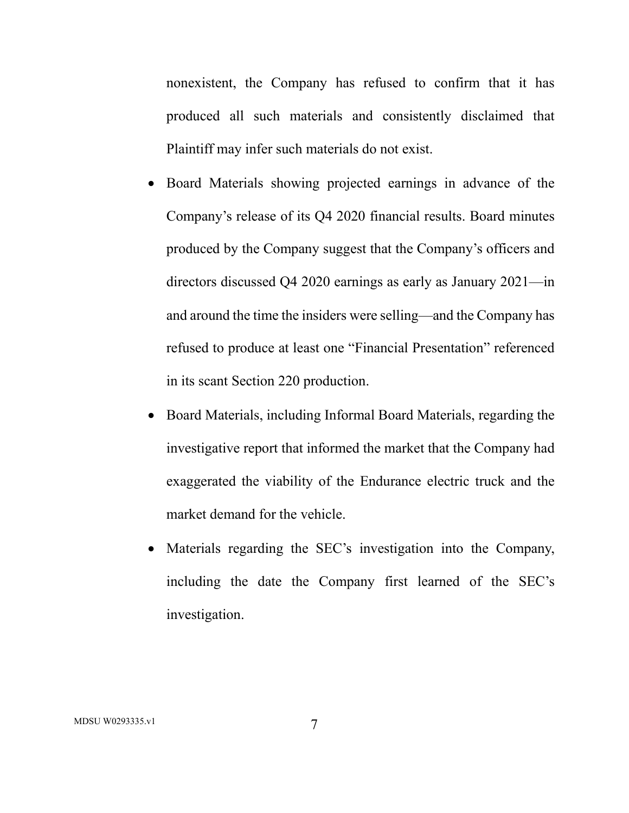nonexistent, the Company has refused to confirm that it has produced all such materials and consistently disclaimed that Plaintiff may infer such materials do not exist.

- Board Materials showing projected earnings in advance of the Company's release of its Q4 2020 financial results. Board minutes produced by the Company suggest that the Company's officers and directors discussed Q4 2020 earnings as early as January 2021—in and around the time the insiders were selling—and the Company has refused to produce at least one "Financial Presentation" referenced in its scant Section 220 production.
- Board Materials, including Informal Board Materials, regarding the investigative report that informed the market that the Company had exaggerated the viability of the Endurance electric truck and the market demand for the vehicle.
- Materials regarding the SEC's investigation into the Company, including the date the Company first learned of the SEC's investigation.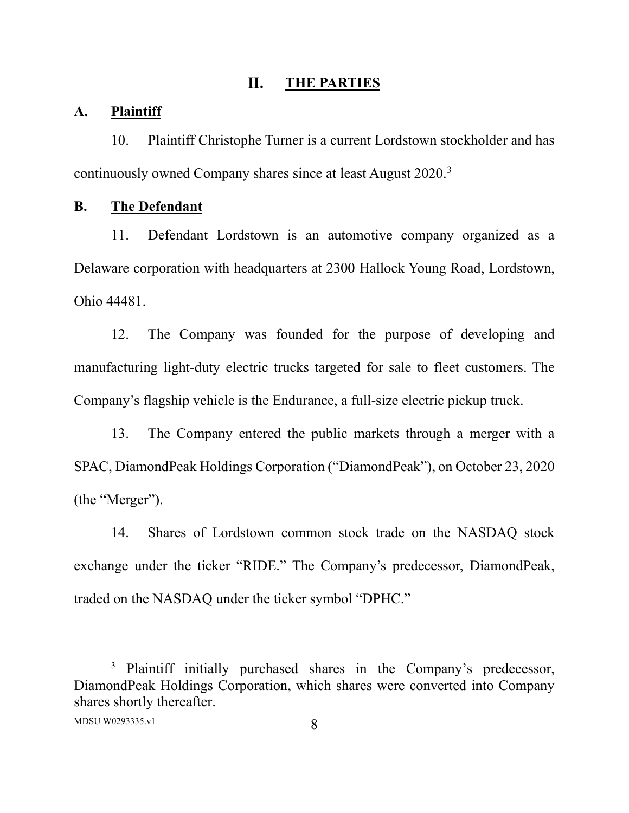#### II. **THE PARTIES**

#### **A. Plaintiff**

10. Plaintiff Christophe Turner is a current Lordstown stockholder and has continuously owned Company shares since at least August 2020. 3

### **B. The Defendant**

11. Defendant Lordstown is an automotive company organized as a Delaware corporation with headquarters at 2300 Hallock Young Road, Lordstown, Ohio 44481.

12. The Company was founded for the purpose of developing and manufacturing light-duty electric trucks targeted for sale to fleet customers. The Company's flagship vehicle is the Endurance, a full-size electric pickup truck.

13. The Company entered the public markets through a merger with a SPAC, DiamondPeak Holdings Corporation ("DiamondPeak"), on October 23, 2020 (the "Merger").

14. Shares of Lordstown common stock trade on the NASDAQ stock exchange under the ticker "RIDE." The Company's predecessor, DiamondPeak, traded on the NASDAQ under the ticker symbol "DPHC."

<sup>&</sup>lt;sup>3</sup> Plaintiff initially purchased shares in the Company's predecessor, DiamondPeak Holdings Corporation, which shares were converted into Company shares shortly thereafter.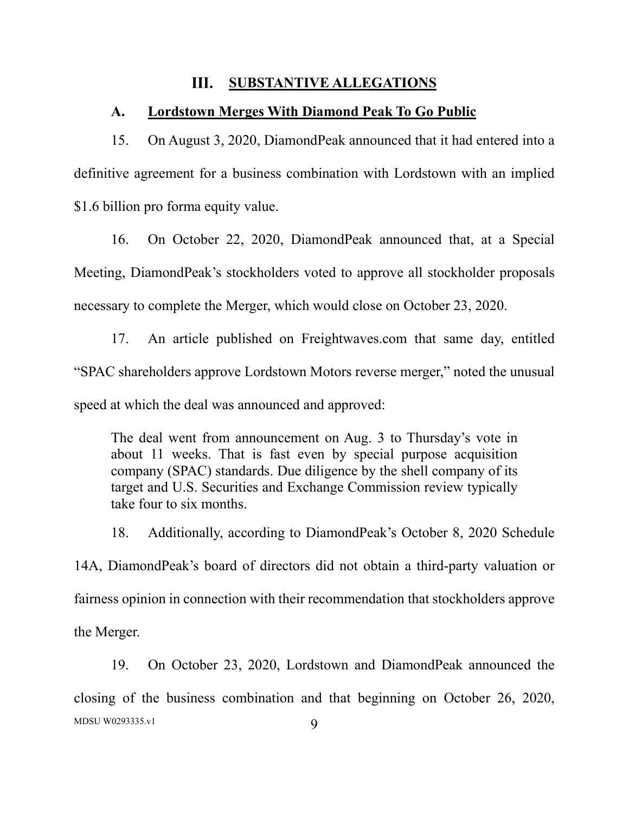#### III. **SUBSTANTIVE ALLEGATIONS**

#### **A. Lordstown Merges With Diamond Peak To Go Public**

15. On August 3, 2020, DiamondPeak announced that it had entered into a definitive agreement for a business combination with Lordstown with an implied \$1.6 billion pro forma equity value.

16. On October 22, 2020, DiamondPeak announced that, at a Special Meeting, DiamondPeak's stockholders voted to approve all stockholder proposals necessary to complete the Merger, which would close on October 23, 2020.

17. An article published on Freightwaves.com that same day, entitled "SPAC shareholders approve Lordstown Motors reverse merger," noted the unusual speed at which the deal was announced and approved:

The deal went from announcement on Aug. 3 to Thursday's vote in about 11 weeks. That is fast even by special purpose acquisition company (SPAC) standards. Due diligence by the shell company of its target and U.S. Securities and Exchange Commission review typically take four to six months.

18. Additionally, according to DiamondPeak's October 8, 2020 Schedule 14A, DiamondPeak's board of directors did not obtain a third-party valuation or fairness opinion in connection with their recommendation that stockholders approve the Merger.

 $MDSU W0293335.v1$  9 19. On October 23, 2020, Lordstown and DiamondPeak announced the closing of the business combination and that beginning on October 26, 2020,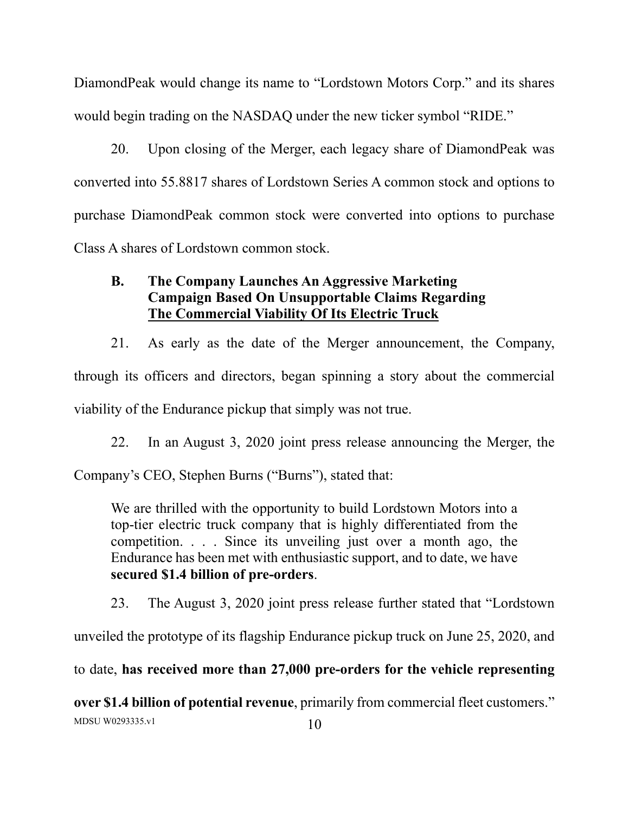DiamondPeak would change its name to "Lordstown Motors Corp." and its shares would begin trading on the NASDAQ under the new ticker symbol "RIDE."

20. Upon closing of the Merger, each legacy share of DiamondPeak was converted into 55.8817 shares of Lordstown Series A common stock and options to purchase DiamondPeak common stock were converted into options to purchase Class A shares of Lordstown common stock.

# **B. The Company Launches An Aggressive Marketing Campaign Based On Unsupportable Claims Regarding The Commercial Viability Of Its Electric Truck**

21. As early as the date of the Merger announcement, the Company, through its officers and directors, began spinning a story about the commercial viability of the Endurance pickup that simply was not true.

22. In an August 3, 2020 joint press release announcing the Merger, the

Company's CEO, Stephen Burns ("Burns"), stated that:

We are thrilled with the opportunity to build Lordstown Motors into a top-tier electric truck company that is highly differentiated from the competition. . . . Since its unveiling just over a month ago, the Endurance has been met with enthusiastic support, and to date, we have **secured \$1.4 billion of pre-orders**.

23. The August 3, 2020 joint press release further stated that "Lordstown

unveiled the prototype of its flagship Endurance pickup truck on June 25, 2020, and

to date, **has received more than 27,000 pre-orders for the vehicle representing** 

 $MDSU W0293335.v1$  10 **over \$1.4 billion of potential revenue**, primarily from commercial fleet customers."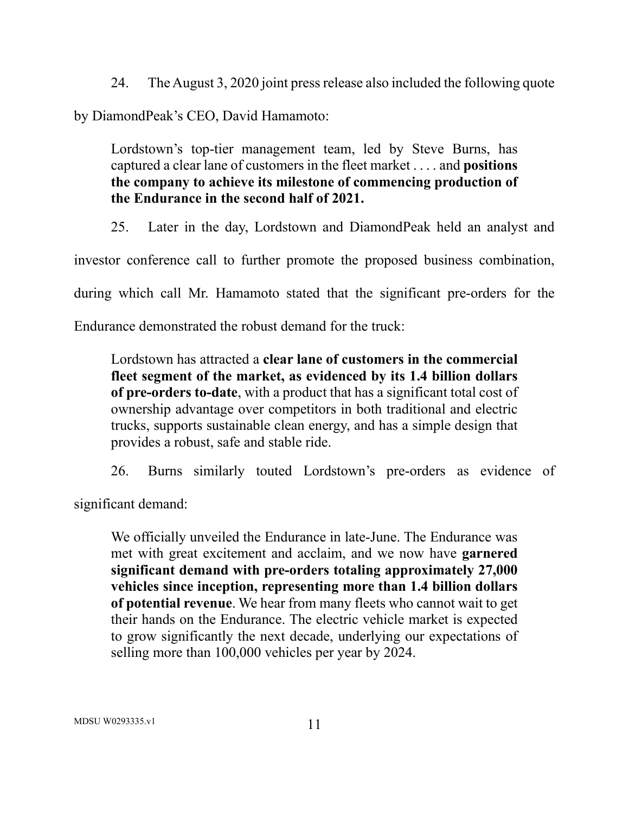24. The August 3, 2020 joint press release also included the following quote

by DiamondPeak's CEO, David Hamamoto:

Lordstown's top-tier management team, led by Steve Burns, has captured a clear lane of customers in the fleet market . . . . and **positions the company to achieve its milestone of commencing production of the Endurance in the second half of 2021.**

25. Later in the day, Lordstown and DiamondPeak held an analyst and

investor conference call to further promote the proposed business combination,

during which call Mr. Hamamoto stated that the significant pre-orders for the

Endurance demonstrated the robust demand for the truck:

Lordstown has attracted a **clear lane of customers in the commercial fleet segment of the market, as evidenced by its 1.4 billion dollars of pre-orders to-date**, with a product that has a significant total cost of ownership advantage over competitors in both traditional and electric trucks, supports sustainable clean energy, and has a simple design that provides a robust, safe and stable ride.

26. Burns similarly touted Lordstown's pre-orders as evidence of

significant demand:

We officially unveiled the Endurance in late-June. The Endurance was met with great excitement and acclaim, and we now have **garnered significant demand with pre-orders totaling approximately 27,000 vehicles since inception, representing more than 1.4 billion dollars of potential revenue**. We hear from many fleets who cannot wait to get their hands on the Endurance. The electric vehicle market is expected to grow significantly the next decade, underlying our expectations of selling more than 100,000 vehicles per year by 2024.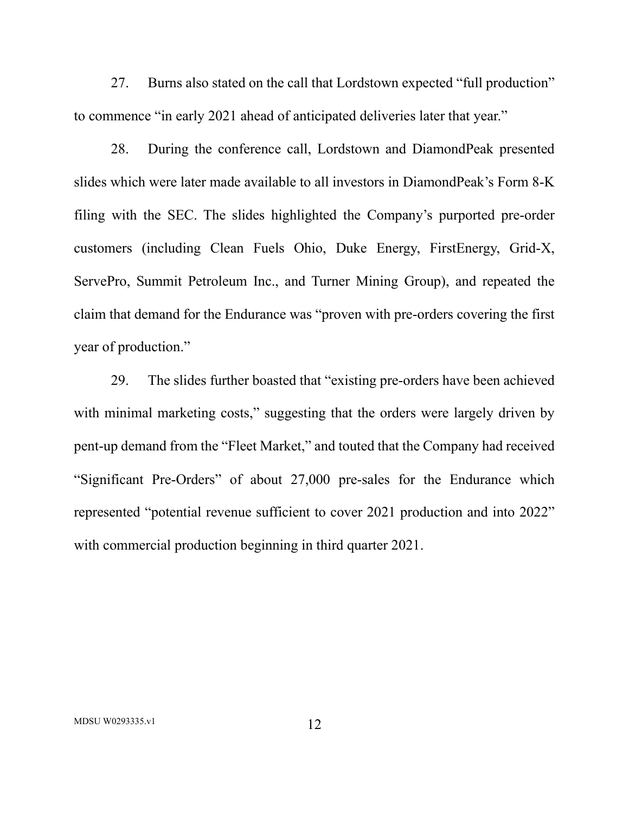27. Burns also stated on the call that Lordstown expected "full production" to commence "in early 2021 ahead of anticipated deliveries later that year."

28. During the conference call, Lordstown and DiamondPeak presented slides which were later made available to all investors in DiamondPeak's Form 8-K filing with the SEC. The slides highlighted the Company's purported pre-order customers (including Clean Fuels Ohio, Duke Energy, FirstEnergy, Grid-X, ServePro, Summit Petroleum Inc., and Turner Mining Group), and repeated the claim that demand for the Endurance was "proven with pre-orders covering the first year of production."

29. The slides further boasted that "existing pre-orders have been achieved with minimal marketing costs," suggesting that the orders were largely driven by pent-up demand from the "Fleet Market," and touted that the Company had received "Significant Pre-Orders" of about 27,000 pre-sales for the Endurance which represented "potential revenue sufficient to cover 2021 production and into 2022" with commercial production beginning in third quarter 2021.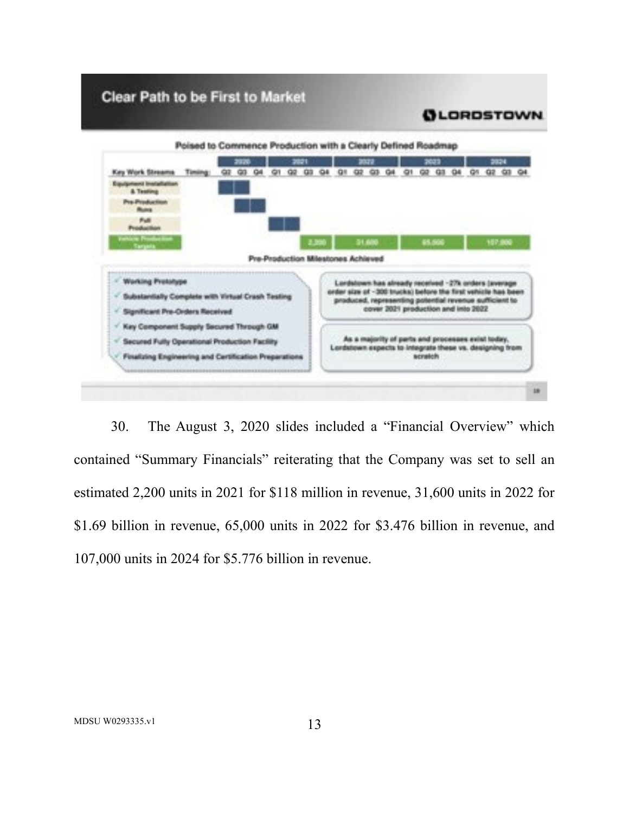# Clear Path to be First to Market



30. The August 3, 2020 slides included a "Financial Overview" which contained "Summary Financials" reiterating that the Company was set to sell an estimated 2,200 units in 2021 for \$118 million in revenue, 31,600 units in 2022 for \$1.69 billion in revenue, 65,000 units in 2022 for \$3.476 billion in revenue, and 107,000 units in 2024 for \$5.776 billion in revenue.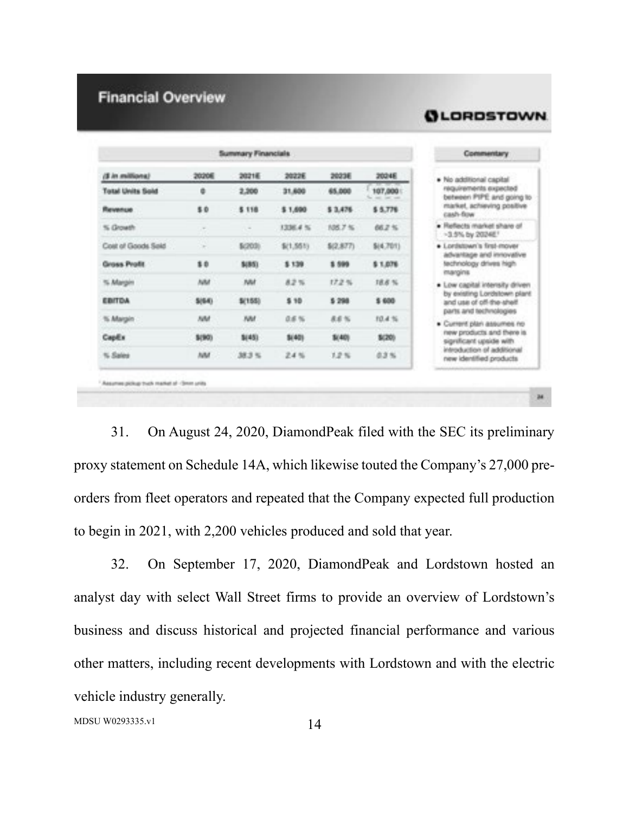# **Financial Overview**

|                        |              | Summary Financials |           |           |           | Commentery                                                                                                                                                                                                                         |
|------------------------|--------------|--------------------|-----------|-----------|-----------|------------------------------------------------------------------------------------------------------------------------------------------------------------------------------------------------------------------------------------|
| <b>Canadian rel II</b> | 2020年        | 20215              | 20226     | 2023E     | 20248     | · No additional capital                                                                                                                                                                                                            |
| Total Units Sold       | 胤            | 2,300              | 31,650    | 65,000    | 107,000   | requirements expected<br>between PIPE and going to                                                                                                                                                                                 |
| <b>Banners</b> at      | \$0.         | \$118              | \$1,890   | \$ 3,476  | \$ 5.776  | market, achieving positive<br>cash-fine.                                                                                                                                                                                           |
| % Growth               | in.          | $\sim$             | 3206.4%   | 986.7%    | 88.2%     | . Reflects market share of<br>$-3.5\%$ by $20248$ .                                                                                                                                                                                |
| Cost of Goods Said     | nв<br>m,     | \$(203)            | \$(1,551) | \$(2,877) | \$(4,701) | · Lordstown's first-mover<br>advantage and innovative<br>technology drives high-                                                                                                                                                   |
| Group Profit           | \$6          | \$(85).            | \$139     | 1 599     | \$1,076   |                                                                                                                                                                                                                                    |
| % Margin               | <b>AM</b>    | <b>BAM</b>         | 82%       | 17.2%     | 18.8%     | margins<br>. Low capital interesty driven                                                                                                                                                                                          |
| <b>EBITOA</b>          | \$25.63      | \$11,553           | \$18      | 5 298     | \$ 600    | by existing Lordstown plant<br>and use of off-the-shelf.<br>parts and technologies<br>. Current plan assumes no<br>new products and there is.<br>significant upside with<br>introduction of additional<br>new identified products. |
| % Margin               | <b>July1</b> | <b>ABI</b>         | 设备帐       | 通道部       | 10.4%     |                                                                                                                                                                                                                                    |
| Capita.                | 3.901        | \$1451             | \$1401    | \$1400    | \$1,700   |                                                                                                                                                                                                                                    |
| % Sales                | July         | 38.3%              | 武术院       | 3.2 %     | 改革所       |                                                                                                                                                                                                                                    |

**QLORDSTOWN** 

31. On August 24, 2020, DiamondPeak filed with the SEC its preliminary proxy statement on Schedule 14A, which likewise touted the Company's 27,000 preorders from fleet operators and repeated that the Company expected full production to begin in 2021, with 2,200 vehicles produced and sold that year.

32. On September 17, 2020, DiamondPeak and Lordstown hosted an analyst day with select Wall Street firms to provide an overview of Lordstown's business and discuss historical and projected financial performance and various other matters, including recent developments with Lordstown and with the electric vehicle industry generally.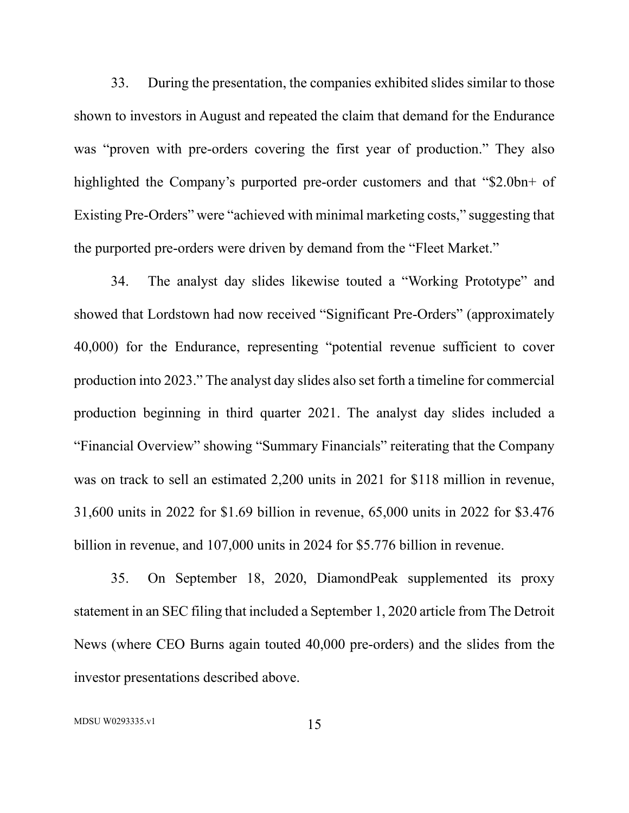33. During the presentation, the companies exhibited slides similar to those shown to investors in August and repeated the claim that demand for the Endurance was "proven with pre-orders covering the first year of production." They also highlighted the Company's purported pre-order customers and that "\$2.0bn+ of Existing Pre-Orders" were "achieved with minimal marketing costs," suggesting that the purported pre-orders were driven by demand from the "Fleet Market."

34. The analyst day slides likewise touted a "Working Prototype" and showed that Lordstown had now received "Significant Pre-Orders" (approximately 40,000) for the Endurance, representing "potential revenue sufficient to cover production into 2023." The analyst day slides also set forth a timeline for commercial production beginning in third quarter 2021. The analyst day slides included a "Financial Overview" showing "Summary Financials" reiterating that the Company was on track to sell an estimated 2,200 units in 2021 for \$118 million in revenue, 31,600 units in 2022 for \$1.69 billion in revenue, 65,000 units in 2022 for \$3.476 billion in revenue, and 107,000 units in 2024 for \$5.776 billion in revenue.

35. On September 18, 2020, DiamondPeak supplemented its proxy statement in an SEC filing that included a September 1, 2020 article from The Detroit News (where CEO Burns again touted 40,000 pre-orders) and the slides from the investor presentations described above.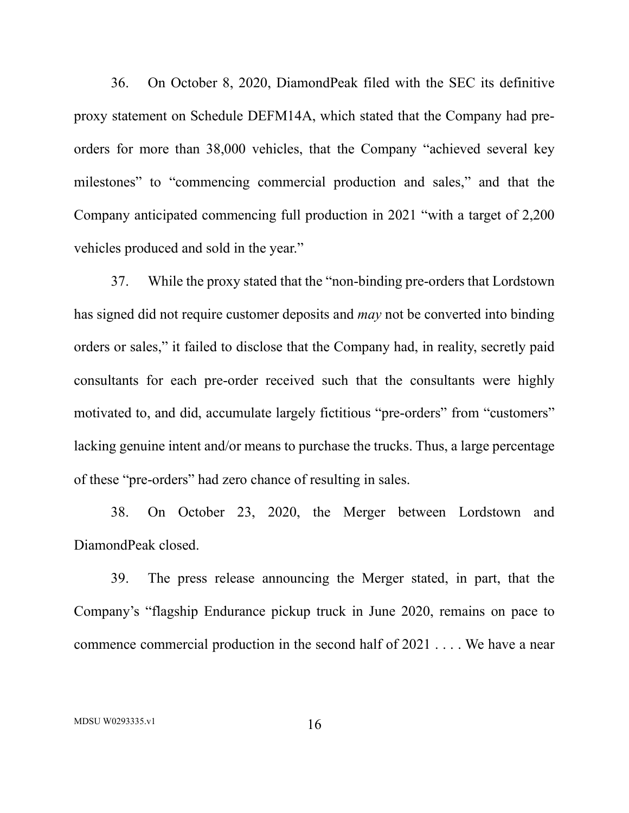36. On October 8, 2020, DiamondPeak filed with the SEC its definitive proxy statement on Schedule DEFM14A, which stated that the Company had preorders for more than 38,000 vehicles, that the Company "achieved several key milestones" to "commencing commercial production and sales," and that the Company anticipated commencing full production in 2021 "with a target of 2,200 vehicles produced and sold in the year."

37. While the proxy stated that the "non-binding pre-orders that Lordstown has signed did not require customer deposits and *may* not be converted into binding orders or sales," it failed to disclose that the Company had, in reality, secretly paid consultants for each pre-order received such that the consultants were highly motivated to, and did, accumulate largely fictitious "pre-orders" from "customers" lacking genuine intent and/or means to purchase the trucks. Thus, a large percentage of these "pre-orders" had zero chance of resulting in sales.

38. On October 23, 2020, the Merger between Lordstown and DiamondPeak closed.

39. The press release announcing the Merger stated, in part, that the Company's "flagship Endurance pickup truck in June 2020, remains on pace to commence commercial production in the second half of 2021 . . . . We have a near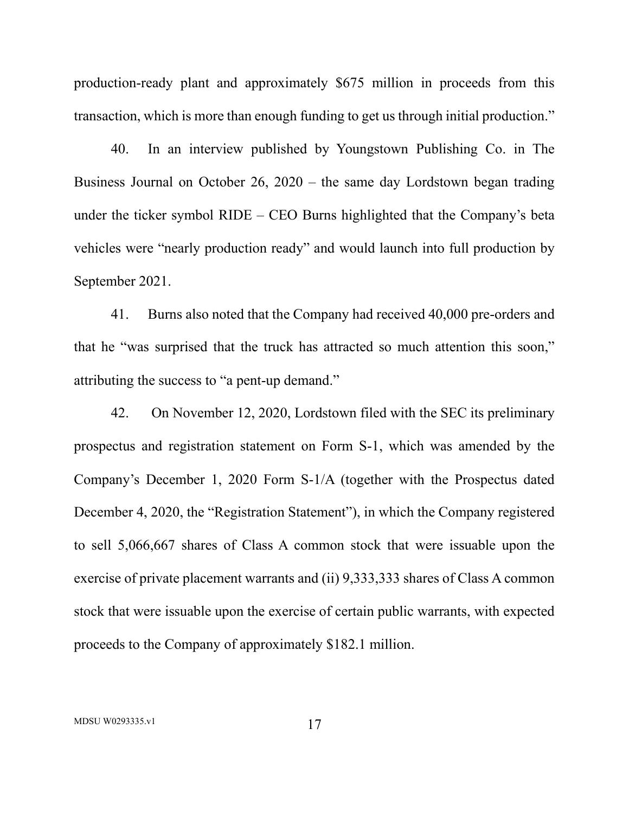production-ready plant and approximately \$675 million in proceeds from this transaction, which is more than enough funding to get us through initial production."

40. In an interview published by Youngstown Publishing Co. in The Business Journal on October 26, 2020 – the same day Lordstown began trading under the ticker symbol RIDE – CEO Burns highlighted that the Company's beta vehicles were "nearly production ready" and would launch into full production by September 2021.

41. Burns also noted that the Company had received 40,000 pre-orders and that he "was surprised that the truck has attracted so much attention this soon," attributing the success to "a pent-up demand."

42. On November 12, 2020, Lordstown filed with the SEC its preliminary prospectus and registration statement on Form S-1, which was amended by the Company's December 1, 2020 Form S-1/A (together with the Prospectus dated December 4, 2020, the "Registration Statement"), in which the Company registered to sell 5,066,667 shares of Class A common stock that were issuable upon the exercise of private placement warrants and (ii) 9,333,333 shares of Class A common stock that were issuable upon the exercise of certain public warrants, with expected proceeds to the Company of approximately \$182.1 million.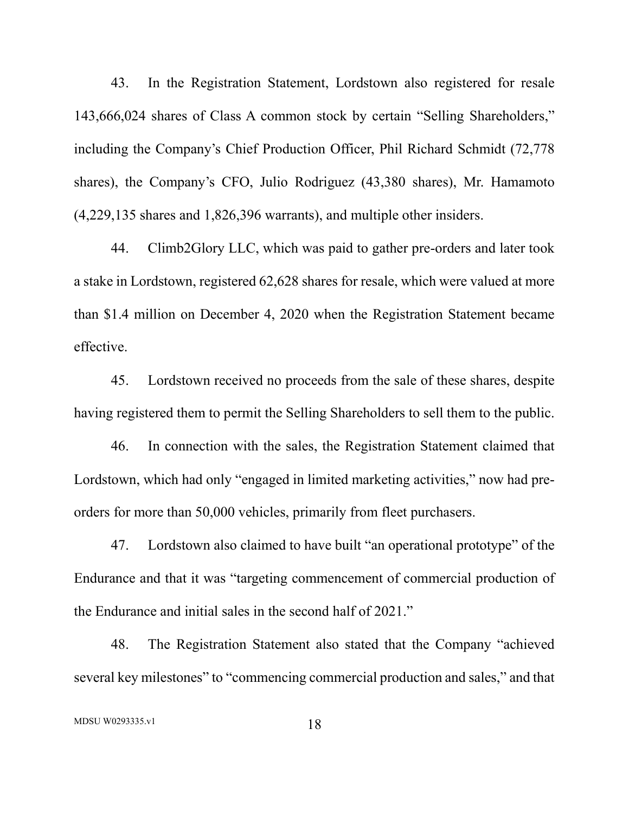43. In the Registration Statement, Lordstown also registered for resale 143,666,024 shares of Class A common stock by certain "Selling Shareholders," including the Company's Chief Production Officer, Phil Richard Schmidt (72,778 shares), the Company's CFO, Julio Rodriguez (43,380 shares), Mr. Hamamoto (4,229,135 shares and 1,826,396 warrants), and multiple other insiders.

44. Climb2Glory LLC, which was paid to gather pre-orders and later took a stake in Lordstown, registered 62,628 shares for resale, which were valued at more than \$1.4 million on December 4, 2020 when the Registration Statement became effective.

45. Lordstown received no proceeds from the sale of these shares, despite having registered them to permit the Selling Shareholders to sell them to the public.

46. In connection with the sales, the Registration Statement claimed that Lordstown, which had only "engaged in limited marketing activities," now had preorders for more than 50,000 vehicles, primarily from fleet purchasers.

47. Lordstown also claimed to have built "an operational prototype" of the Endurance and that it was "targeting commencement of commercial production of the Endurance and initial sales in the second half of 2021."

48. The Registration Statement also stated that the Company "achieved several key milestones" to "commencing commercial production and sales," and that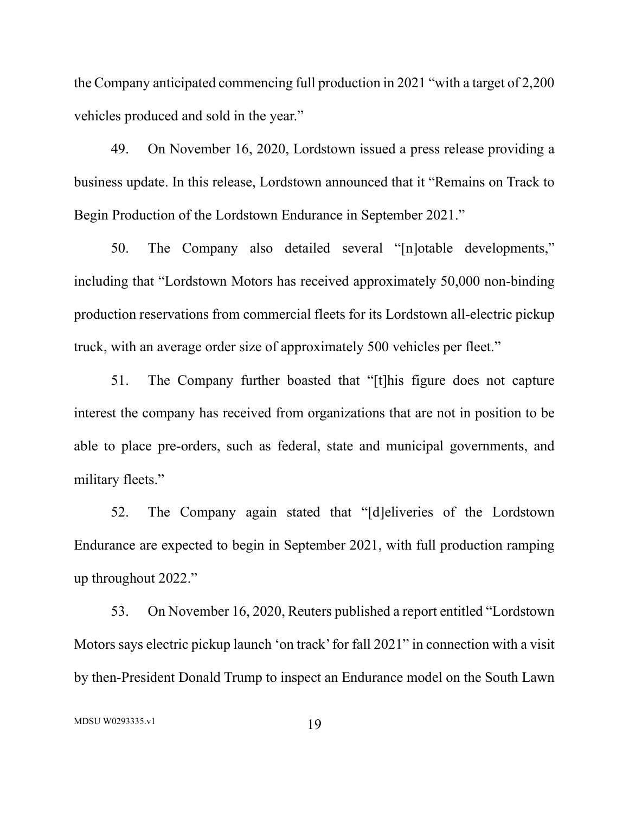the Company anticipated commencing full production in 2021 "with a target of 2,200 vehicles produced and sold in the year."

49. On November 16, 2020, Lordstown issued a press release providing a business update. In this release, Lordstown announced that it "Remains on Track to Begin Production of the Lordstown Endurance in September 2021."

50. The Company also detailed several "[n]otable developments," including that "Lordstown Motors has received approximately 50,000 non-binding production reservations from commercial fleets for its Lordstown all-electric pickup truck, with an average order size of approximately 500 vehicles per fleet."

51. The Company further boasted that "[t]his figure does not capture interest the company has received from organizations that are not in position to be able to place pre-orders, such as federal, state and municipal governments, and military fleets."

52. The Company again stated that "[d]eliveries of the Lordstown Endurance are expected to begin in September 2021, with full production ramping up throughout 2022."

53. On November 16, 2020, Reuters published a report entitled "Lordstown Motors says electric pickup launch 'on track' for fall 2021" in connection with a visit by then-President Donald Trump to inspect an Endurance model on the South Lawn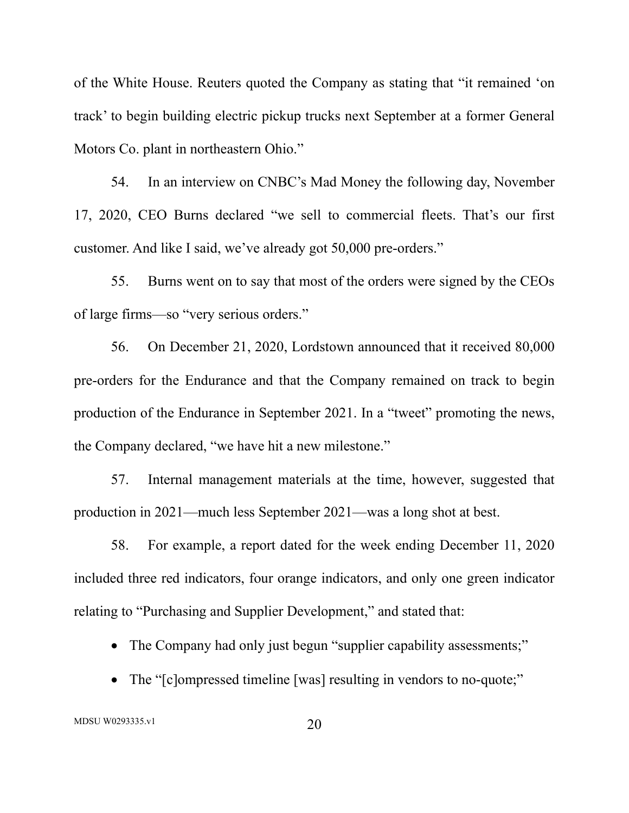of the White House. Reuters quoted the Company as stating that "it remained 'on track' to begin building electric pickup trucks next September at a former General Motors Co. plant in northeastern Ohio."

54. In an interview on CNBC's Mad Money the following day, November 17, 2020, CEO Burns declared "we sell to commercial fleets. That's our first customer. And like I said, we've already got 50,000 pre-orders."

55. Burns went on to say that most of the orders were signed by the CEOs of large firms—so "very serious orders."

56. On December 21, 2020, Lordstown announced that it received 80,000 pre-orders for the Endurance and that the Company remained on track to begin production of the Endurance in September 2021. In a "tweet" promoting the news, the Company declared, "we have hit a new milestone."

57. Internal management materials at the time, however, suggested that production in 2021—much less September 2021—was a long shot at best.

58. For example, a report dated for the week ending December 11, 2020 included three red indicators, four orange indicators, and only one green indicator relating to "Purchasing and Supplier Development," and stated that:

• The Company had only just begun "supplier capability assessments;"

• The "[c]ompressed timeline [was] resulting in vendors to no-quote;"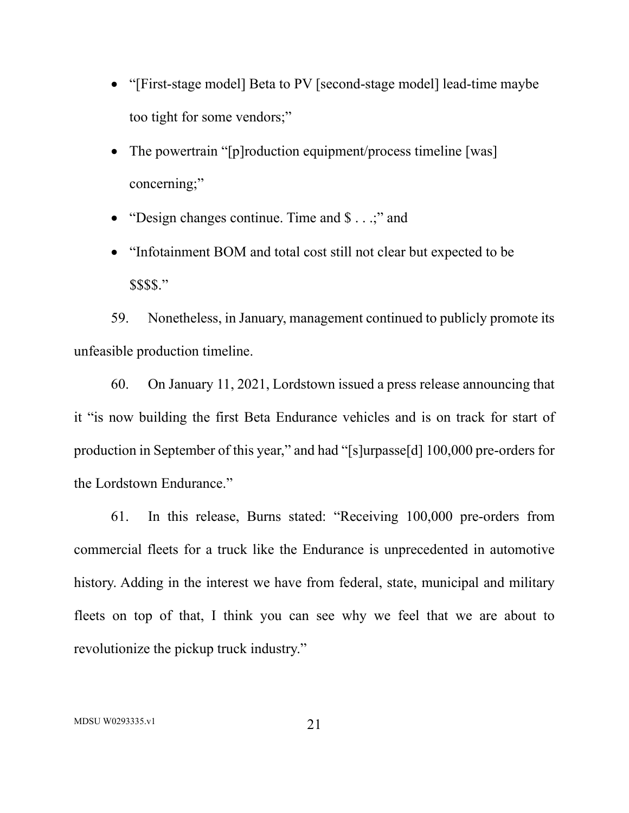- "[First-stage model] Beta to PV [second-stage model] lead-time maybe too tight for some vendors;"
- The powertrain "[p]roduction equipment/process timeline [was] concerning;"
- "Design changes continue. Time and  $\$\dots$ ;" and
- "Infotainment BOM and total cost still not clear but expected to be \$\$\$\$."

59. Nonetheless, in January, management continued to publicly promote its unfeasible production timeline.

60. On January 11, 2021, Lordstown issued a press release announcing that it "is now building the first Beta Endurance vehicles and is on track for start of production in September of this year," and had "[s]urpasse[d] 100,000 pre-orders for the Lordstown Endurance."

61. In this release, Burns stated: "Receiving 100,000 pre-orders from commercial fleets for a truck like the Endurance is unprecedented in automotive history. Adding in the interest we have from federal, state, municipal and military fleets on top of that, I think you can see why we feel that we are about to revolutionize the pickup truck industry."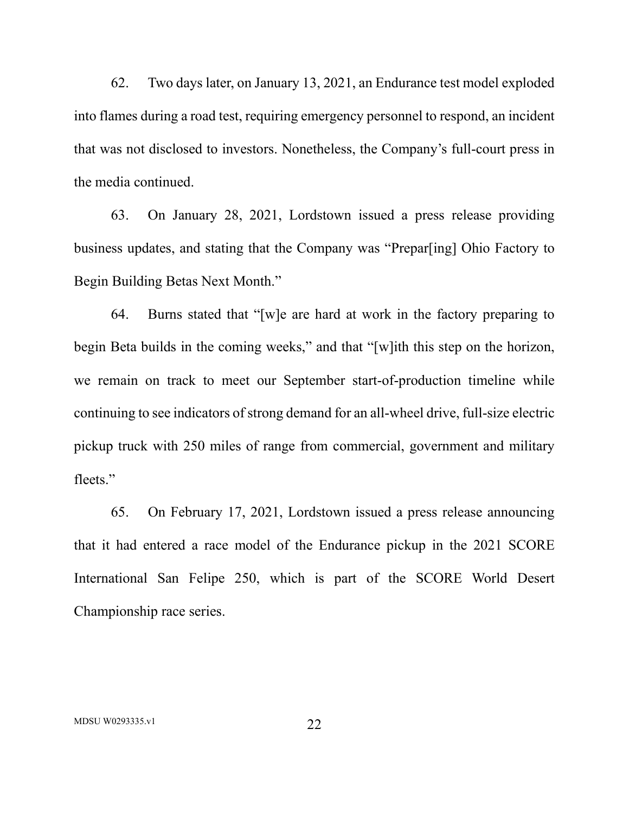62. Two days later, on January 13, 2021, an Endurance test model exploded into flames during a road test, requiring emergency personnel to respond, an incident that was not disclosed to investors. Nonetheless, the Company's full-court press in the media continued.

63. On January 28, 2021, Lordstown issued a press release providing business updates, and stating that the Company was "Prepar[ing] Ohio Factory to Begin Building Betas Next Month."

64. Burns stated that "[w]e are hard at work in the factory preparing to begin Beta builds in the coming weeks," and that "[w]ith this step on the horizon, we remain on track to meet our September start-of-production timeline while continuing to see indicators of strong demand for an all-wheel drive, full-size electric pickup truck with 250 miles of range from commercial, government and military fleets."

65. On February 17, 2021, Lordstown issued a press release announcing that it had entered a race model of the Endurance pickup in the 2021 SCORE International San Felipe 250, which is part of the SCORE World Desert Championship race series.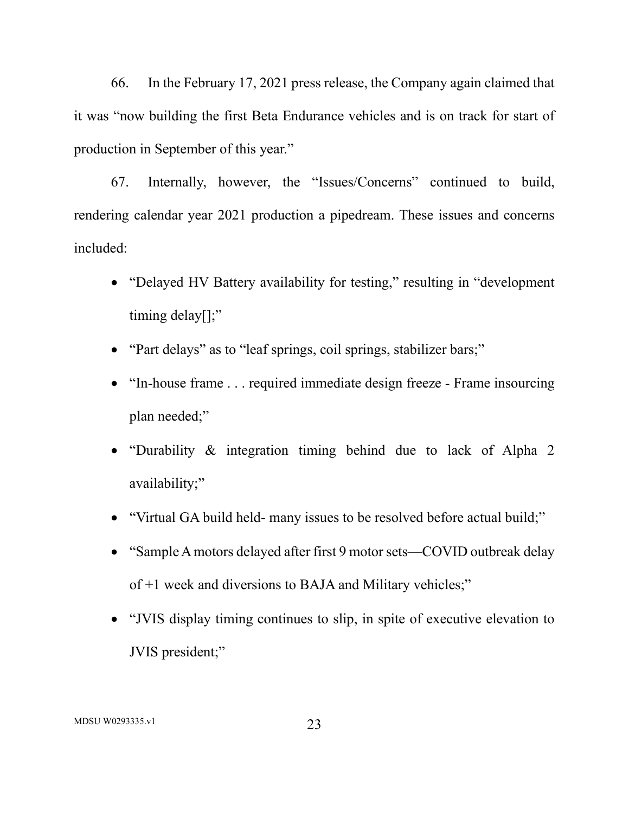66. In the February 17, 2021 press release, the Company again claimed that it was "now building the first Beta Endurance vehicles and is on track for start of production in September of this year."

67. Internally, however, the "Issues/Concerns" continued to build, rendering calendar year 2021 production a pipedream. These issues and concerns included:

- "Delayed HV Battery availability for testing," resulting in "development timing delay[];"
- "Part delays" as to "leaf springs, coil springs, stabilizer bars;"
- "In-house frame . . . required immediate design freeze Frame insourcing plan needed;"
- "Durability & integration timing behind due to lack of Alpha 2 availability;"
- "Virtual GA build held- many issues to be resolved before actual build;"
- "Sample A motors delayed after first 9 motor sets—COVID outbreak delay of +1 week and diversions to BAJA and Military vehicles;"
- "JVIS display timing continues to slip, in spite of executive elevation to JVIS president;"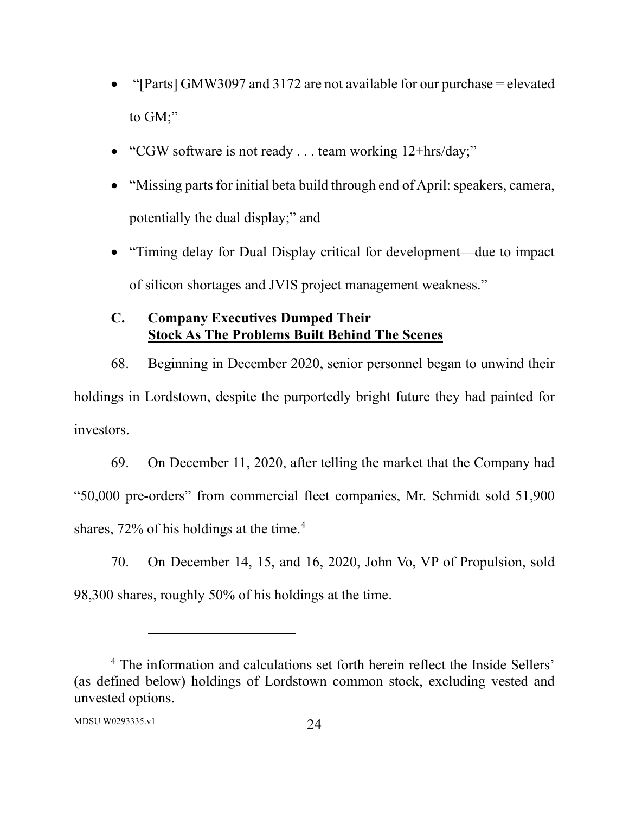- "[Parts] GMW3097 and 3172 are not available for our purchase = elevated to GM;"
- "CGW software is not ready . . . team working 12+hrs/day;"
- "Missing parts for initial beta build through end of April: speakers, camera, potentially the dual display;" and
- "Timing delay for Dual Display critical for development—due to impact of silicon shortages and JVIS project management weakness."

# **C. Company Executives Dumped Their Stock As The Problems Built Behind The Scenes**

68. Beginning in December 2020, senior personnel began to unwind their holdings in Lordstown, despite the purportedly bright future they had painted for investors.

69. On December 11, 2020, after telling the market that the Company had "50,000 pre-orders" from commercial fleet companies, Mr. Schmidt sold 51,900 shares, 72% of his holdings at the time.<sup>4</sup>

70. On December 14, 15, and 16, 2020, John Vo, VP of Propulsion, sold 98,300 shares, roughly 50% of his holdings at the time.

<sup>&</sup>lt;sup>4</sup> The information and calculations set forth herein reflect the Inside Sellers' (as defined below) holdings of Lordstown common stock, excluding vested and unvested options.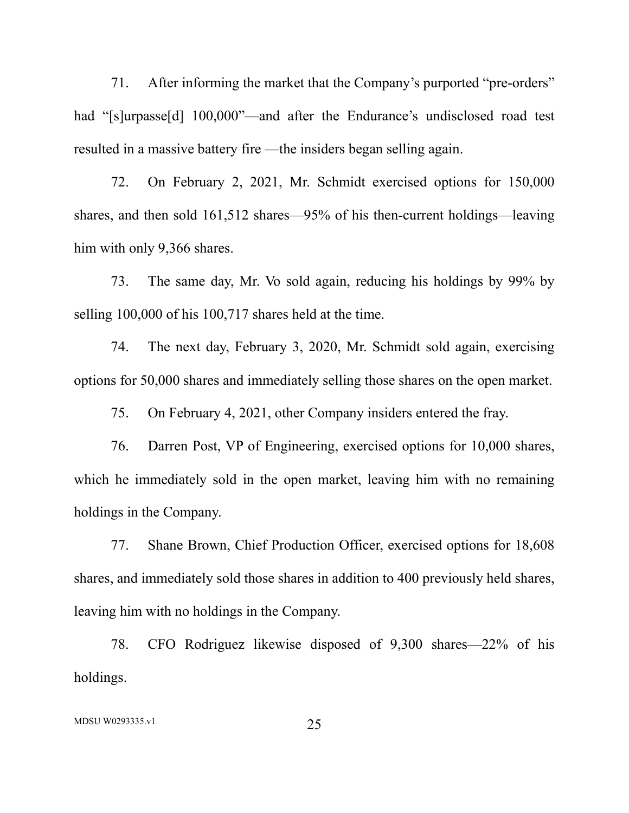71. After informing the market that the Company's purported "pre-orders" had "[s]urpasse[d] 100,000"—and after the Endurance's undisclosed road test resulted in a massive battery fire —the insiders began selling again.

72. On February 2, 2021, Mr. Schmidt exercised options for 150,000 shares, and then sold 161,512 shares—95% of his then-current holdings—leaving him with only 9,366 shares.

73. The same day, Mr. Vo sold again, reducing his holdings by 99% by selling 100,000 of his 100,717 shares held at the time.

74. The next day, February 3, 2020, Mr. Schmidt sold again, exercising options for 50,000 shares and immediately selling those shares on the open market.

75. On February 4, 2021, other Company insiders entered the fray.

76. Darren Post, VP of Engineering, exercised options for 10,000 shares, which he immediately sold in the open market, leaving him with no remaining holdings in the Company.

77. Shane Brown, Chief Production Officer, exercised options for 18,608 shares, and immediately sold those shares in addition to 400 previously held shares, leaving him with no holdings in the Company.

78. CFO Rodriguez likewise disposed of 9,300 shares—22% of his holdings.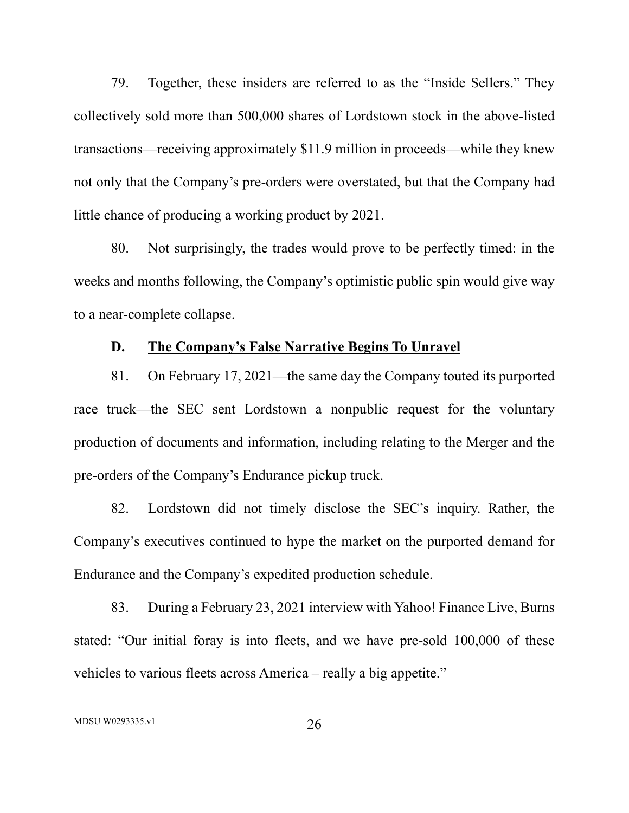79. Together, these insiders are referred to as the "Inside Sellers." They collectively sold more than 500,000 shares of Lordstown stock in the above-listed transactions—receiving approximately \$11.9 million in proceeds—while they knew not only that the Company's pre-orders were overstated, but that the Company had little chance of producing a working product by 2021.

80. Not surprisingly, the trades would prove to be perfectly timed: in the weeks and months following, the Company's optimistic public spin would give way to a near-complete collapse.

### **D. The Company's False Narrative Begins To Unravel**

81. On February 17, 2021—the same day the Company touted its purported race truck—the SEC sent Lordstown a nonpublic request for the voluntary production of documents and information, including relating to the Merger and the pre-orders of the Company's Endurance pickup truck.

82. Lordstown did not timely disclose the SEC's inquiry. Rather, the Company's executives continued to hype the market on the purported demand for Endurance and the Company's expedited production schedule.

83. During a February 23, 2021 interview with Yahoo! Finance Live, Burns stated: "Our initial foray is into fleets, and we have pre-sold 100,000 of these vehicles to various fleets across America – really a big appetite."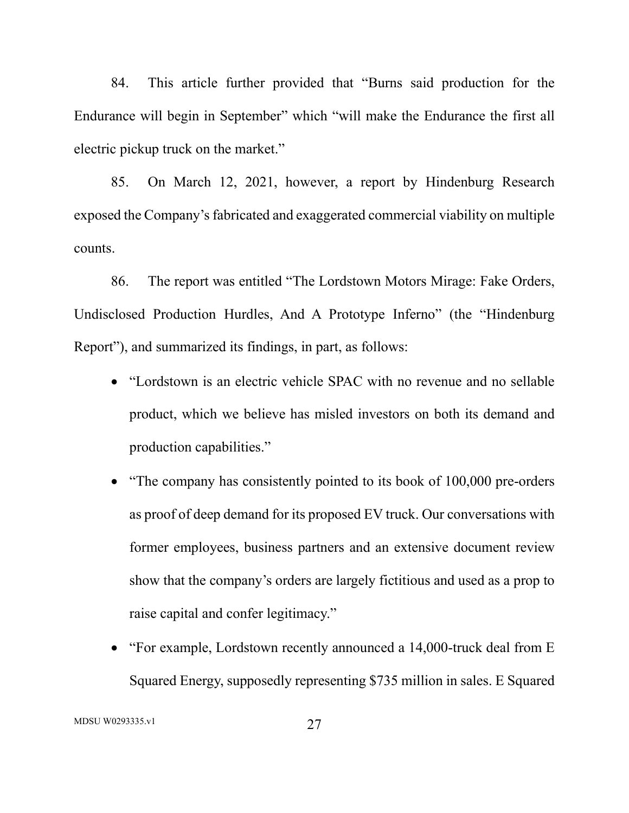84. This article further provided that "Burns said production for the Endurance will begin in September" which "will make the Endurance the first all electric pickup truck on the market."

85. On March 12, 2021, however, a report by Hindenburg Research exposed the Company's fabricated and exaggerated commercial viability on multiple counts.

86. The report was entitled "The Lordstown Motors Mirage: Fake Orders, Undisclosed Production Hurdles, And A Prototype Inferno" (the "Hindenburg Report"), and summarized its findings, in part, as follows:

- "Lordstown is an electric vehicle SPAC with no revenue and no sellable product, which we believe has misled investors on both its demand and production capabilities."
- "The company has consistently pointed to its book of 100,000 pre-orders as proof of deep demand for its proposed EV truck. Our conversations with former employees, business partners and an extensive document review show that the company's orders are largely fictitious and used as a prop to raise capital and confer legitimacy."
- "For example, Lordstown recently announced a 14,000-truck deal from E Squared Energy, supposedly representing \$735 million in sales. E Squared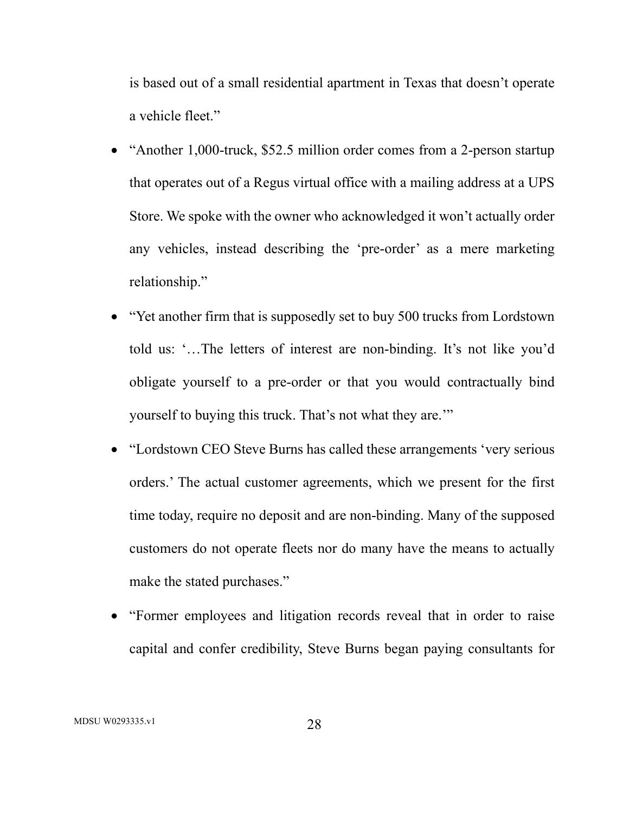is based out of a small residential apartment in Texas that doesn't operate a vehicle fleet."

- "Another 1,000-truck, \$52.5 million order comes from a 2-person startup that operates out of a Regus virtual office with a mailing address at a UPS Store. We spoke with the owner who acknowledged it won't actually order any vehicles, instead describing the 'pre-order' as a mere marketing relationship."
- "Yet another firm that is supposedly set to buy 500 trucks from Lordstown told us: '…The letters of interest are non-binding. It's not like you'd obligate yourself to a pre-order or that you would contractually bind yourself to buying this truck. That's not what they are.'"
- "Lordstown CEO Steve Burns has called these arrangements 'very serious orders.' The actual customer agreements, which we present for the first time today, require no deposit and are non-binding. Many of the supposed customers do not operate fleets nor do many have the means to actually make the stated purchases."
- "Former employees and litigation records reveal that in order to raise capital and confer credibility, Steve Burns began paying consultants for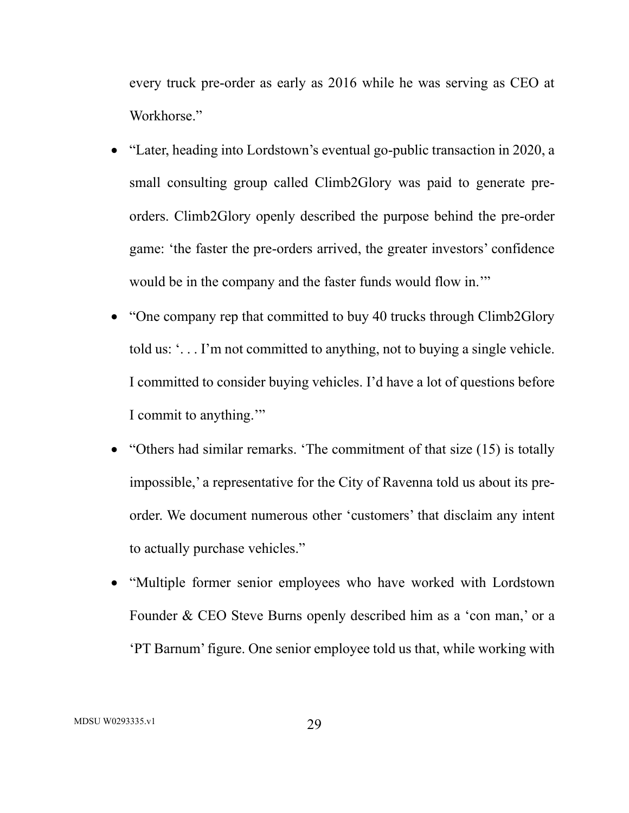every truck pre-order as early as 2016 while he was serving as CEO at Workhorse."

- "Later, heading into Lordstown's eventual go-public transaction in 2020, a small consulting group called Climb2Glory was paid to generate preorders. Climb2Glory openly described the purpose behind the pre-order game: 'the faster the pre-orders arrived, the greater investors' confidence would be in the company and the faster funds would flow in.'"
- "One company rep that committed to buy 40 trucks through Climb2Glory" told us: '. . . I'm not committed to anything, not to buying a single vehicle. I committed to consider buying vehicles. I'd have a lot of questions before I commit to anything.'"
- "Others had similar remarks. 'The commitment of that size (15) is totally impossible,' a representative for the City of Ravenna told us about its preorder. We document numerous other 'customers' that disclaim any intent to actually purchase vehicles."
- "Multiple former senior employees who have worked with Lordstown Founder & CEO Steve Burns openly described him as a 'con man,' or a 'PT Barnum' figure. One senior employee told us that, while working with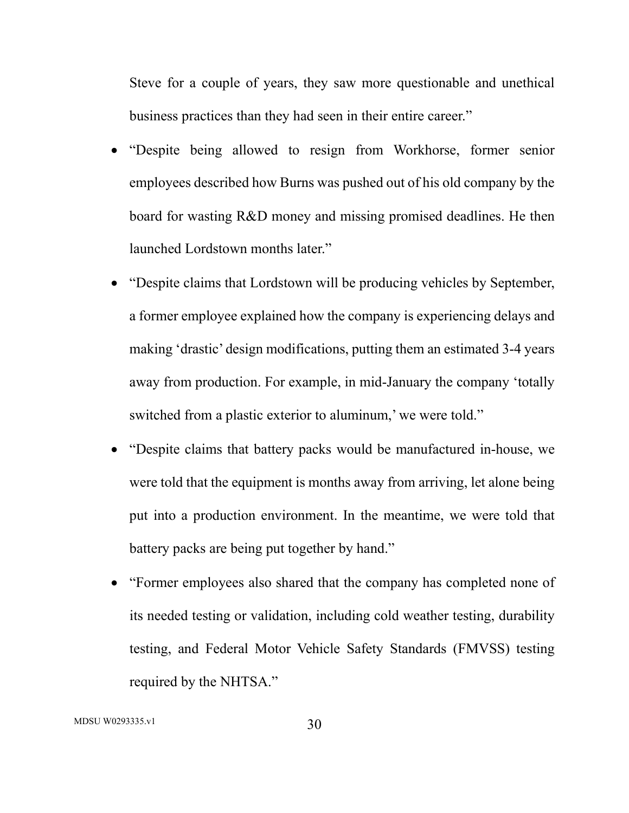Steve for a couple of years, they saw more questionable and unethical business practices than they had seen in their entire career."

- "Despite being allowed to resign from Workhorse, former senior employees described how Burns was pushed out of his old company by the board for wasting R&D money and missing promised deadlines. He then launched Lordstown months later."
- "Despite claims that Lordstown will be producing vehicles by September, a former employee explained how the company is experiencing delays and making 'drastic' design modifications, putting them an estimated 3-4 years away from production. For example, in mid-January the company 'totally switched from a plastic exterior to aluminum,' we were told."
- "Despite claims that battery packs would be manufactured in-house, we were told that the equipment is months away from arriving, let alone being put into a production environment. In the meantime, we were told that battery packs are being put together by hand."
- "Former employees also shared that the company has completed none of its needed testing or validation, including cold weather testing, durability testing, and Federal Motor Vehicle Safety Standards (FMVSS) testing required by the NHTSA."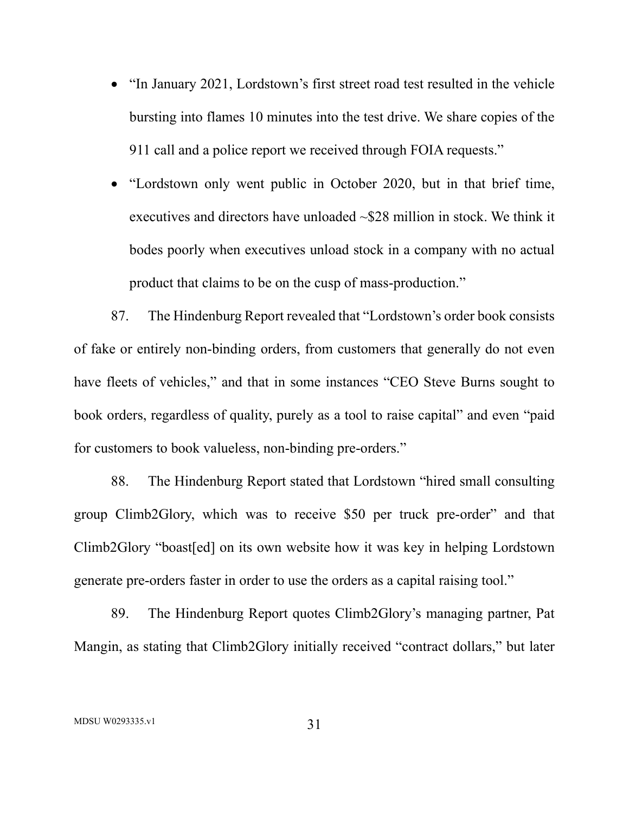- "In January 2021, Lordstown's first street road test resulted in the vehicle bursting into flames 10 minutes into the test drive. We share copies of the 911 call and a police report we received through FOIA requests."
- "Lordstown only went public in October 2020, but in that brief time, executives and directors have unloaded ~\$28 million in stock. We think it bodes poorly when executives unload stock in a company with no actual product that claims to be on the cusp of mass-production."

87. The Hindenburg Report revealed that "Lordstown's order book consists of fake or entirely non-binding orders, from customers that generally do not even have fleets of vehicles," and that in some instances "CEO Steve Burns sought to book orders, regardless of quality, purely as a tool to raise capital" and even "paid for customers to book valueless, non-binding pre-orders."

88. The Hindenburg Report stated that Lordstown "hired small consulting group Climb2Glory, which was to receive \$50 per truck pre-order" and that Climb2Glory "boast[ed] on its own website how it was key in helping Lordstown generate pre-orders faster in order to use the orders as a capital raising tool."

89. The Hindenburg Report quotes Climb2Glory's managing partner, Pat Mangin, as stating that Climb2Glory initially received "contract dollars," but later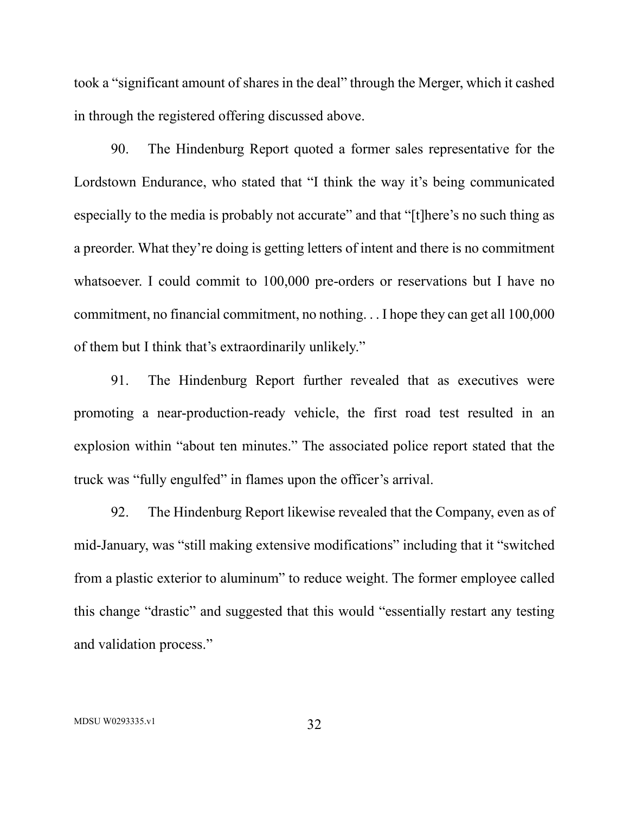took a "significant amount of shares in the deal" through the Merger, which it cashed in through the registered offering discussed above.

90. The Hindenburg Report quoted a former sales representative for the Lordstown Endurance, who stated that "I think the way it's being communicated especially to the media is probably not accurate" and that "[t]here's no such thing as a preorder. What they're doing is getting letters of intent and there is no commitment whatsoever. I could commit to 100,000 pre-orders or reservations but I have no commitment, no financial commitment, no nothing. . . I hope they can get all 100,000 of them but I think that's extraordinarily unlikely."

91. The Hindenburg Report further revealed that as executives were promoting a near-production-ready vehicle, the first road test resulted in an explosion within "about ten minutes." The associated police report stated that the truck was "fully engulfed" in flames upon the officer's arrival.

92. The Hindenburg Report likewise revealed that the Company, even as of mid-January, was "still making extensive modifications" including that it "switched from a plastic exterior to aluminum" to reduce weight. The former employee called this change "drastic" and suggested that this would "essentially restart any testing and validation process."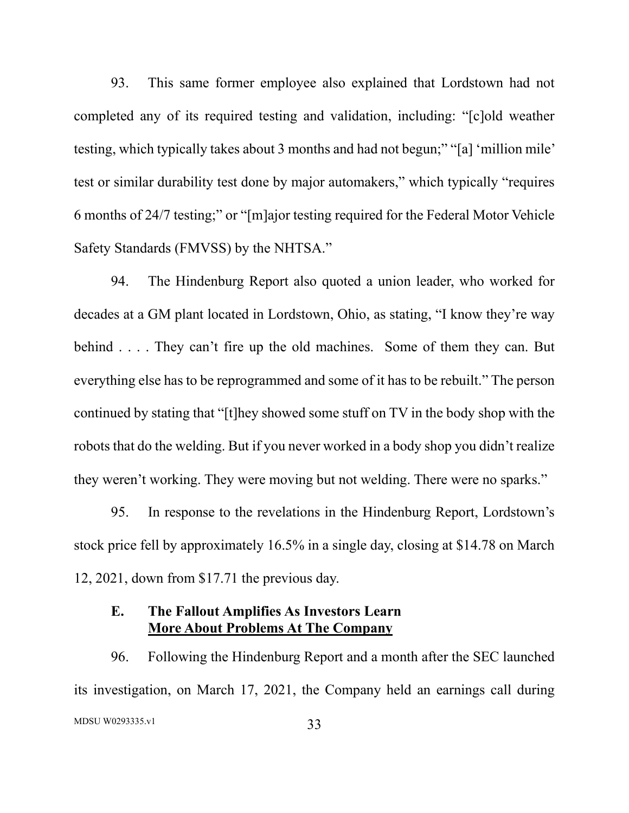93. This same former employee also explained that Lordstown had not completed any of its required testing and validation, including: "[c]old weather testing, which typically takes about 3 months and had not begun;" "[a] 'million mile' test or similar durability test done by major automakers," which typically "requires 6 months of 24/7 testing;" or "[m]ajor testing required for the Federal Motor Vehicle Safety Standards (FMVSS) by the NHTSA."

94. The Hindenburg Report also quoted a union leader, who worked for decades at a GM plant located in Lordstown, Ohio, as stating, "I know they're way behind . . . . They can't fire up the old machines. Some of them they can. But everything else has to be reprogrammed and some of it has to be rebuilt." The person continued by stating that "[t]hey showed some stuff on TV in the body shop with the robots that do the welding. But if you never worked in a body shop you didn't realize they weren't working. They were moving but not welding. There were no sparks."

95. In response to the revelations in the Hindenburg Report, Lordstown's stock price fell by approximately 16.5% in a single day, closing at \$14.78 on March 12, 2021, down from \$17.71 the previous day.

## **E. The Fallout Amplifies As Investors Learn More About Problems At The Company**

MDSU W0293335.v1 33 96. Following the Hindenburg Report and a month after the SEC launched its investigation, on March 17, 2021, the Company held an earnings call during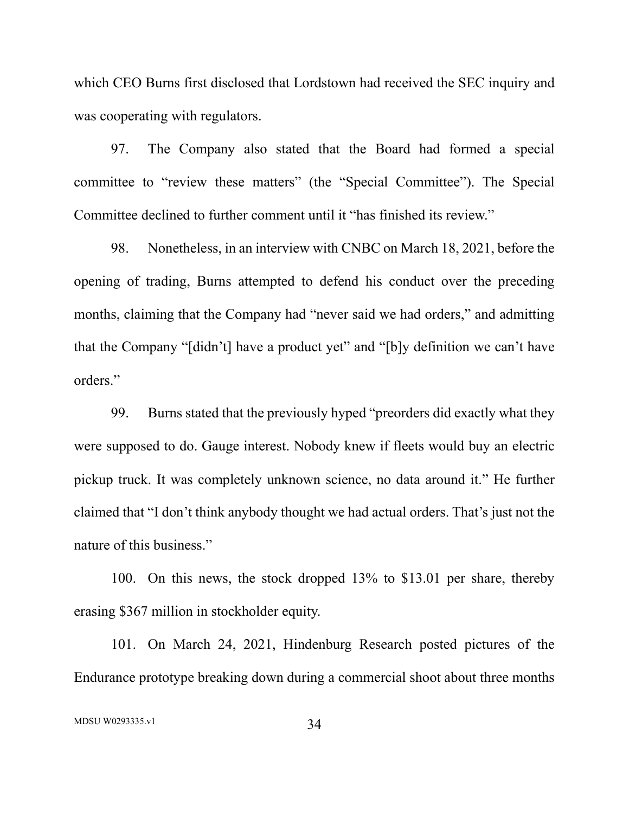which CEO Burns first disclosed that Lordstown had received the SEC inquiry and was cooperating with regulators.

97. The Company also stated that the Board had formed a special committee to "review these matters" (the "Special Committee"). The Special Committee declined to further comment until it "has finished its review."

98. Nonetheless, in an interview with CNBC on March 18, 2021, before the opening of trading, Burns attempted to defend his conduct over the preceding months, claiming that the Company had "never said we had orders," and admitting that the Company "[didn't] have a product yet" and "[b]y definition we can't have orders."

99. Burns stated that the previously hyped "preorders did exactly what they were supposed to do. Gauge interest. Nobody knew if fleets would buy an electric pickup truck. It was completely unknown science, no data around it." He further claimed that "I don't think anybody thought we had actual orders. That's just not the nature of this business."

100. On this news, the stock dropped 13% to \$13.01 per share, thereby erasing \$367 million in stockholder equity.

101. On March 24, 2021, Hindenburg Research posted pictures of the Endurance prototype breaking down during a commercial shoot about three months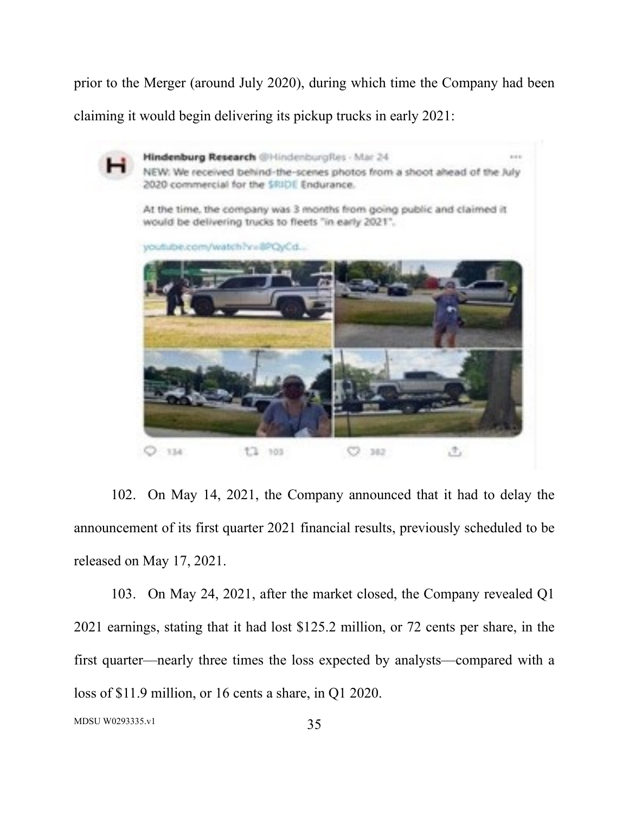prior to the Merger (around July 2020), during which time the Company had been claiming it would begin delivering its pickup trucks in early 2021:



102. On May 14, 2021, the Company announced that it had to delay the announcement of its first quarter 2021 financial results, previously scheduled to be released on May 17, 2021.

103. On May 24, 2021, after the market closed, the Company revealed Q1 2021 earnings, stating that it had lost \$125.2 million, or 72 cents per share, in the first quarter—nearly three times the loss expected by analysts—compared with a loss of \$11.9 million, or 16 cents a share, in Q1 2020.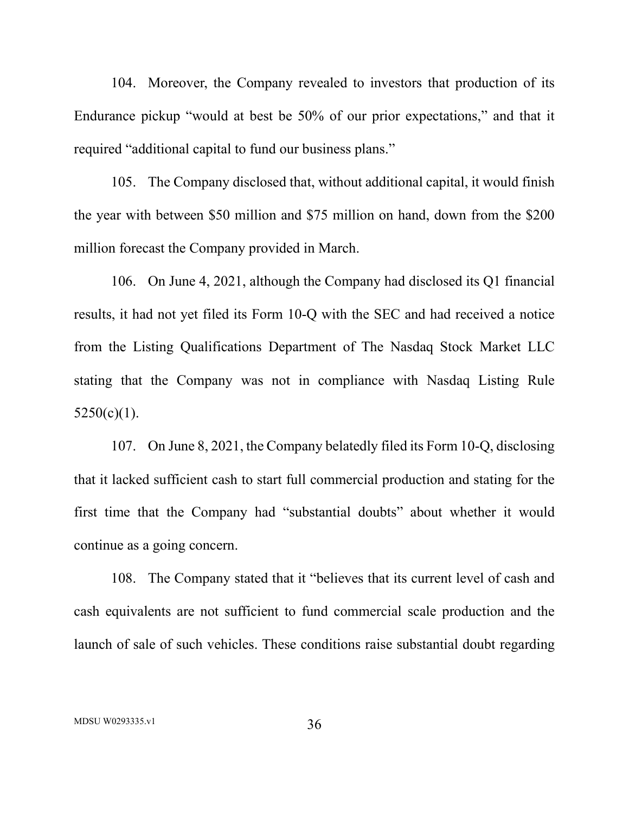104. Moreover, the Company revealed to investors that production of its Endurance pickup "would at best be 50% of our prior expectations," and that it required "additional capital to fund our business plans."

105. The Company disclosed that, without additional capital, it would finish the year with between \$50 million and \$75 million on hand, down from the \$200 million forecast the Company provided in March.

106. On June 4, 2021, although the Company had disclosed its Q1 financial results, it had not yet filed its Form 10-Q with the SEC and had received a notice from the Listing Qualifications Department of The Nasdaq Stock Market LLC stating that the Company was not in compliance with Nasdaq Listing Rule  $5250(c)(1)$ .

107. On June 8, 2021, the Company belatedly filed its Form 10-Q, disclosing that it lacked sufficient cash to start full commercial production and stating for the first time that the Company had "substantial doubts" about whether it would continue as a going concern.

108. The Company stated that it "believes that its current level of cash and cash equivalents are not sufficient to fund commercial scale production and the launch of sale of such vehicles. These conditions raise substantial doubt regarding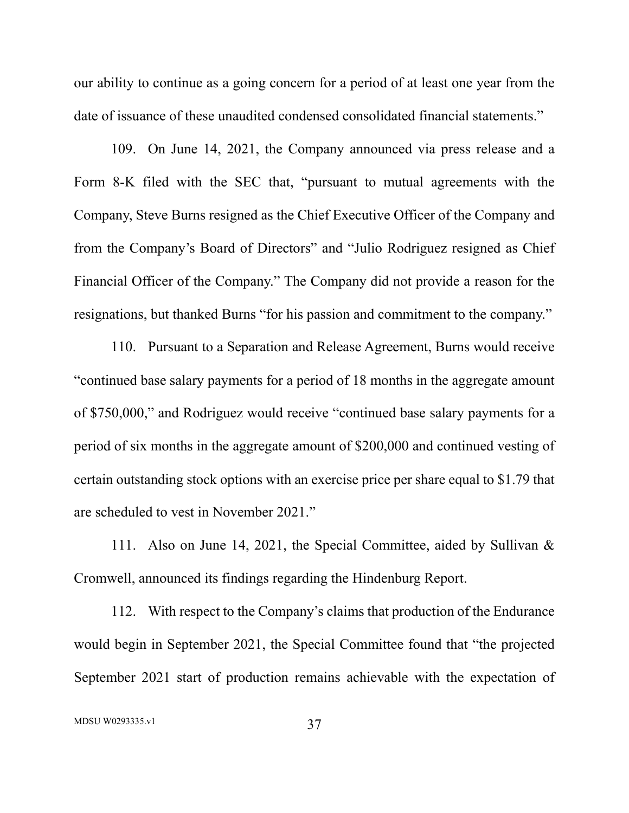our ability to continue as a going concern for a period of at least one year from the date of issuance of these unaudited condensed consolidated financial statements."

109. On June 14, 2021, the Company announced via press release and a Form 8-K filed with the SEC that, "pursuant to mutual agreements with the Company, Steve Burns resigned as the Chief Executive Officer of the Company and from the Company's Board of Directors" and "Julio Rodriguez resigned as Chief Financial Officer of the Company." The Company did not provide a reason for the resignations, but thanked Burns "for his passion and commitment to the company."

110. Pursuant to a Separation and Release Agreement, Burns would receive "continued base salary payments for a period of 18 months in the aggregate amount of \$750,000," and Rodriguez would receive "continued base salary payments for a period of six months in the aggregate amount of \$200,000 and continued vesting of certain outstanding stock options with an exercise price per share equal to \$1.79 that are scheduled to vest in November 2021."

111. Also on June 14, 2021, the Special Committee, aided by Sullivan & Cromwell, announced its findings regarding the Hindenburg Report.

112. With respect to the Company's claims that production of the Endurance would begin in September 2021, the Special Committee found that "the projected September 2021 start of production remains achievable with the expectation of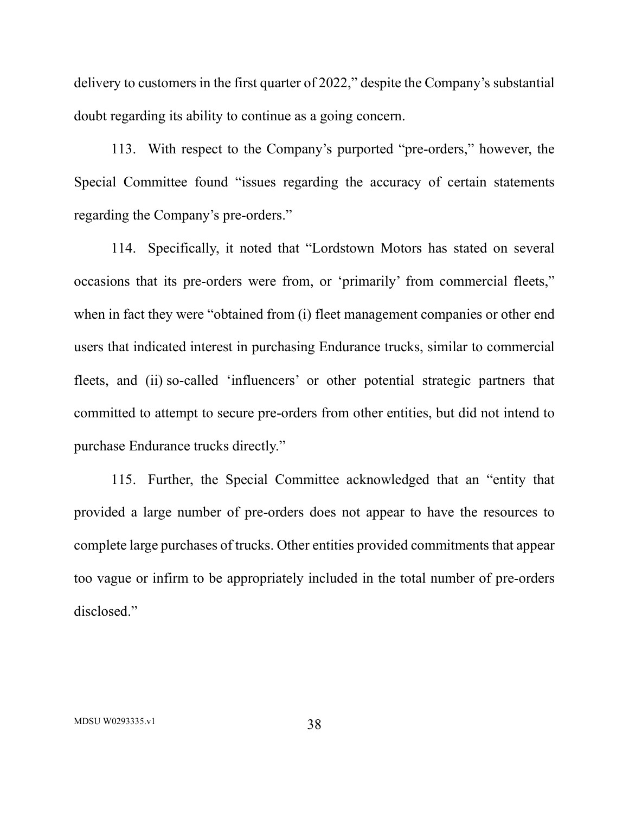delivery to customers in the first quarter of 2022," despite the Company's substantial doubt regarding its ability to continue as a going concern.

113. With respect to the Company's purported "pre-orders," however, the Special Committee found "issues regarding the accuracy of certain statements regarding the Company's pre-orders."

114. Specifically, it noted that "Lordstown Motors has stated on several occasions that its pre-orders were from, or 'primarily' from commercial fleets," when in fact they were "obtained from (i) fleet management companies or other end users that indicated interest in purchasing Endurance trucks, similar to commercial fleets, and (ii) so-called 'influencers' or other potential strategic partners that committed to attempt to secure pre-orders from other entities, but did not intend to purchase Endurance trucks directly."

115. Further, the Special Committee acknowledged that an "entity that provided a large number of pre-orders does not appear to have the resources to complete large purchases of trucks. Other entities provided commitments that appear too vague or infirm to be appropriately included in the total number of pre-orders disclosed."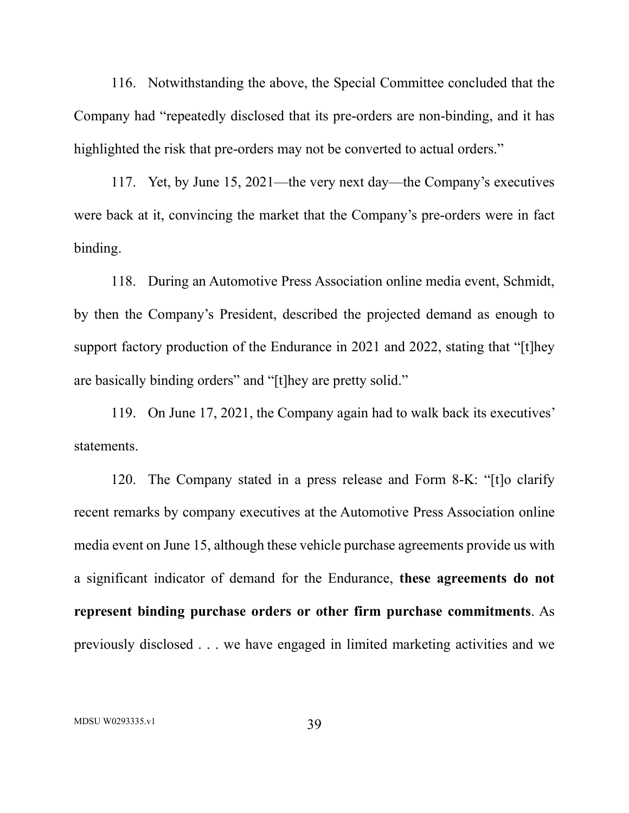116. Notwithstanding the above, the Special Committee concluded that the Company had "repeatedly disclosed that its pre-orders are non-binding, and it has highlighted the risk that pre-orders may not be converted to actual orders."

117. Yet, by June 15, 2021—the very next day—the Company's executives were back at it, convincing the market that the Company's pre-orders were in fact binding.

118. During an Automotive Press Association online media event, Schmidt, by then the Company's President, described the projected demand as enough to support factory production of the Endurance in 2021 and 2022, stating that "[t]hey are basically binding orders" and "[t]hey are pretty solid."

119. On June 17, 2021, the Company again had to walk back its executives' statements.

120. The Company stated in a press release and Form 8-K: "[t]o clarify recent remarks by company executives at the Automotive Press Association online media event on June 15, although these vehicle purchase agreements provide us with a significant indicator of demand for the Endurance, **these agreements do not represent binding purchase orders or other firm purchase commitments**. As previously disclosed . . . we have engaged in limited marketing activities and we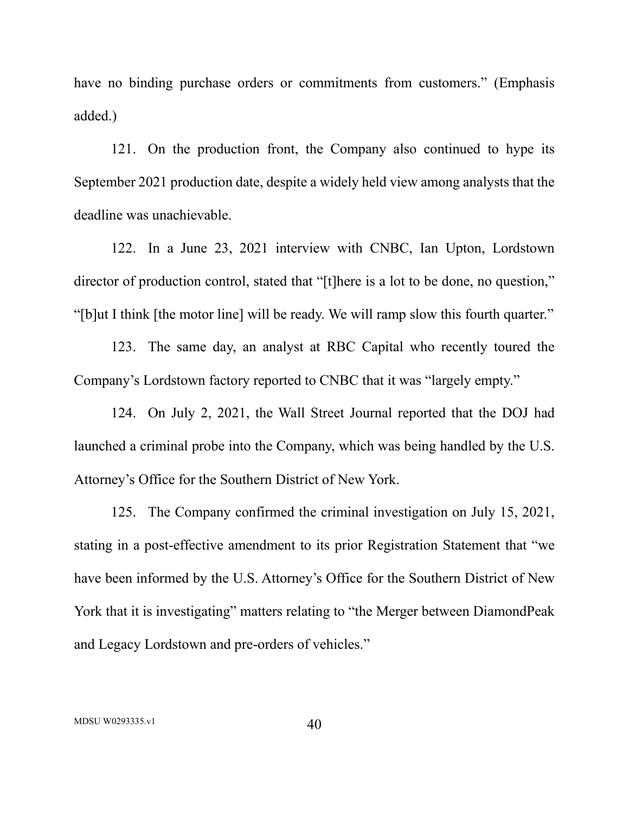have no binding purchase orders or commitments from customers." (Emphasis added.)

121. On the production front, the Company also continued to hype its September 2021 production date, despite a widely held view among analysts that the deadline was unachievable.

122. In a June 23, 2021 interview with CNBC, Ian Upton, Lordstown director of production control, stated that "[t]here is a lot to be done, no question," "[b]ut I think [the motor line] will be ready. We will ramp slow this fourth quarter."

123. The same day, an analyst at RBC Capital who recently toured the Company's Lordstown factory reported to CNBC that it was "largely empty."

124. On July 2, 2021, the Wall Street Journal reported that the DOJ had launched a criminal probe into the Company, which was being handled by the U.S. Attorney's Office for the Southern District of New York.

125. The Company confirmed the criminal investigation on July 15, 2021, stating in a post-effective amendment to its prior Registration Statement that "we have been informed by the U.S. Attorney's Office for the Southern District of New York that it is investigating" matters relating to "the Merger between DiamondPeak and Legacy Lordstown and pre-orders of vehicles."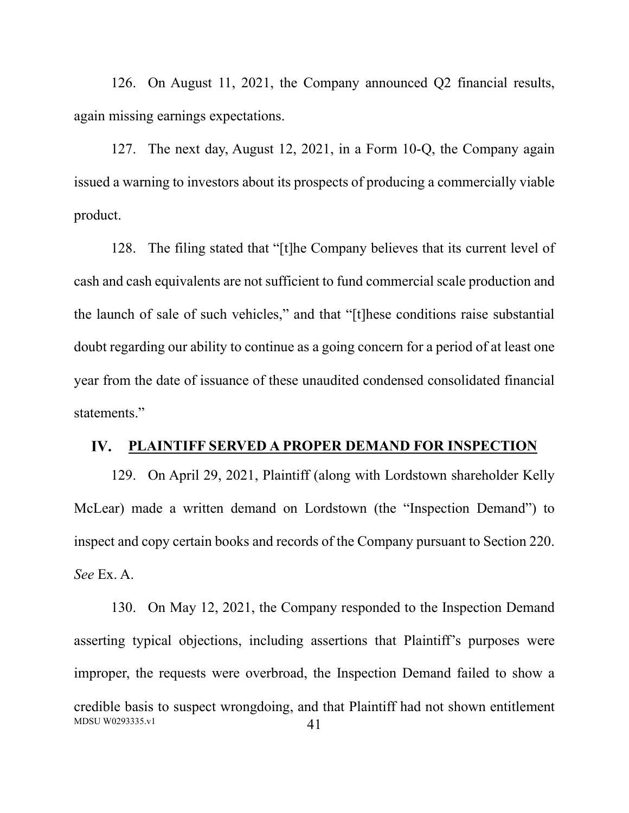126. On August 11, 2021, the Company announced Q2 financial results, again missing earnings expectations.

127. The next day, August 12, 2021, in a Form 10-Q, the Company again issued a warning to investors about its prospects of producing a commercially viable product.

128. The filing stated that "[t]he Company believes that its current level of cash and cash equivalents are not sufficient to fund commercial scale production and the launch of sale of such vehicles," and that "[t]hese conditions raise substantial doubt regarding our ability to continue as a going concern for a period of at least one year from the date of issuance of these unaudited condensed consolidated financial statements."

#### **PLAINTIFF SERVED A PROPER DEMAND FOR INSPECTION** IV.

129. On April 29, 2021, Plaintiff (along with Lordstown shareholder Kelly McLear) made a written demand on Lordstown (the "Inspection Demand") to inspect and copy certain books and records of the Company pursuant to Section 220. *See* Ex. A.

MDSU W0293335.v1 41 130. On May 12, 2021, the Company responded to the Inspection Demand asserting typical objections, including assertions that Plaintiff's purposes were improper, the requests were overbroad, the Inspection Demand failed to show a credible basis to suspect wrongdoing, and that Plaintiff had not shown entitlement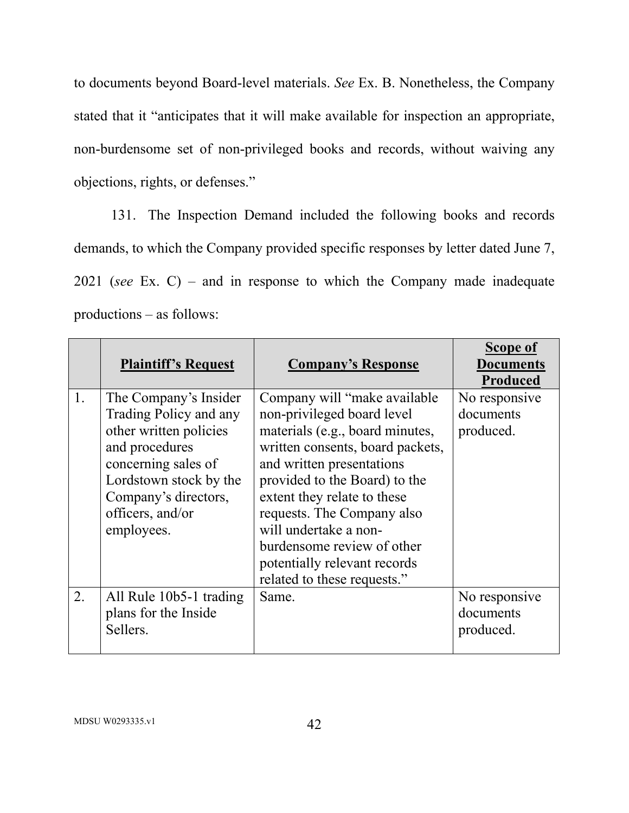to documents beyond Board-level materials. *See* Ex. B. Nonetheless, the Company stated that it "anticipates that it will make available for inspection an appropriate, non-burdensome set of non-privileged books and records, without waiving any objections, rights, or defenses."

131. The Inspection Demand included the following books and records demands, to which the Company provided specific responses by letter dated June 7, 2021 (*see* Ex. C) – and in response to which the Company made inadequate productions – as follows:

|    | <b>Plaintiff's Request</b>                                                                                                                                                                             | <b>Company's Response</b>                                                                                                                                                                                                                                                                                                                                                           | Scope of<br><b>Documents</b><br>Produced |
|----|--------------------------------------------------------------------------------------------------------------------------------------------------------------------------------------------------------|-------------------------------------------------------------------------------------------------------------------------------------------------------------------------------------------------------------------------------------------------------------------------------------------------------------------------------------------------------------------------------------|------------------------------------------|
| 1. | The Company's Insider<br>Trading Policy and any<br>other written policies<br>and procedures<br>concerning sales of<br>Lordstown stock by the<br>Company's directors,<br>officers, and/or<br>employees. | Company will "make available"<br>non-privileged board level<br>materials (e.g., board minutes,<br>written consents, board packets,<br>and written presentations<br>provided to the Board) to the<br>extent they relate to these<br>requests. The Company also<br>will undertake a non-<br>burdensome review of other<br>potentially relevant records<br>related to these requests." | No responsive<br>documents<br>produced.  |
| 2. | All Rule 10b5-1 trading<br>plans for the Inside<br>Sellers.                                                                                                                                            | Same.                                                                                                                                                                                                                                                                                                                                                                               | No responsive<br>documents<br>produced.  |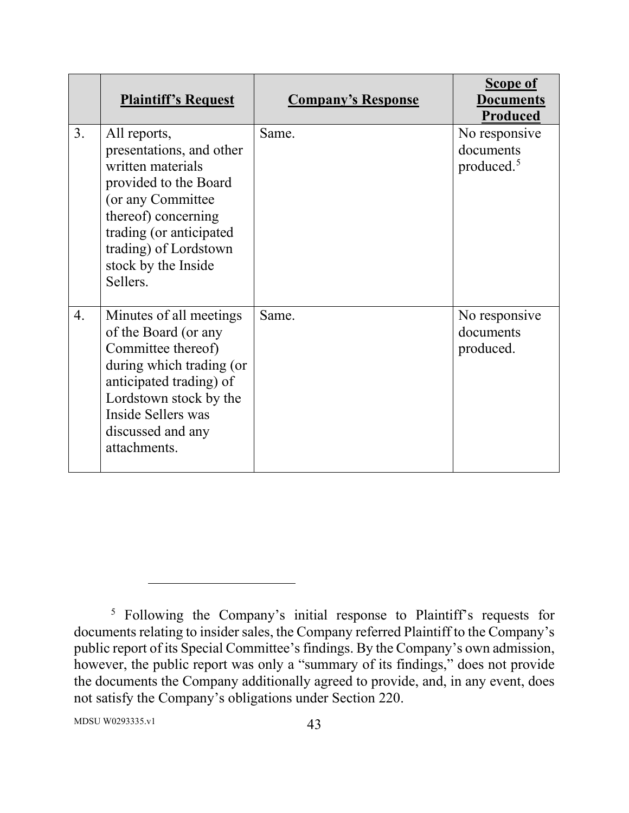|    | <b>Plaintiff's Request</b>                                                                                                                                                                                                | <b>Company's Response</b> | <b>Scope of</b><br><b>Documents</b><br><b>Produced</b> |
|----|---------------------------------------------------------------------------------------------------------------------------------------------------------------------------------------------------------------------------|---------------------------|--------------------------------------------------------|
| 3. | All reports,<br>presentations, and other<br>written materials<br>provided to the Board<br>(or any Committee<br>thereof) concerning<br>trading (or anticipated<br>trading) of Lordstown<br>stock by the Inside<br>Sellers. | Same.                     | No responsive<br>documents<br>produced. <sup>5</sup>   |
| 4. | Minutes of all meetings<br>of the Board (or any<br>Committee thereof)<br>during which trading (or<br>anticipated trading) of<br>Lordstown stock by the<br>Inside Sellers was<br>discussed and any<br>attachments.         | Same.                     | No responsive<br>documents<br>produced.                |

<sup>5</sup> Following the Company's initial response to Plaintiff's requests for documents relating to insider sales, the Company referred Plaintiff to the Company's public report of its Special Committee's findings. By the Company's own admission, however, the public report was only a "summary of its findings," does not provide the documents the Company additionally agreed to provide, and, in any event, does not satisfy the Company's obligations under Section 220.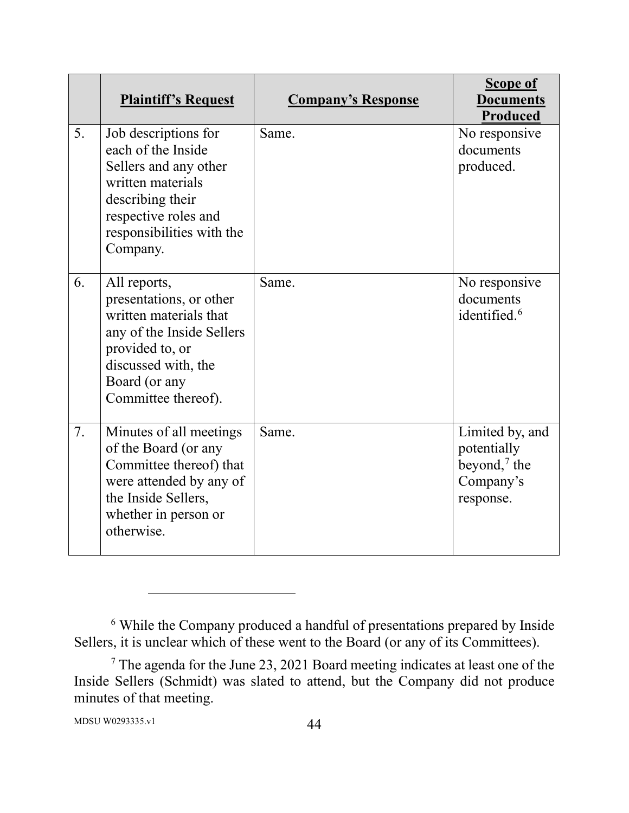|    | <b>Plaintiff's Request</b>                                                                                                                                                       | <b>Company's Response</b> | <b>Scope of</b><br><b>Documents</b><br><b>Produced</b>                       |
|----|----------------------------------------------------------------------------------------------------------------------------------------------------------------------------------|---------------------------|------------------------------------------------------------------------------|
| 5. | Job descriptions for<br>each of the Inside<br>Sellers and any other<br>written materials<br>describing their<br>respective roles and<br>responsibilities with the<br>Company.    | Same.                     | No responsive<br>documents<br>produced.                                      |
| 6. | All reports,<br>presentations, or other<br>written materials that<br>any of the Inside Sellers<br>provided to, or<br>discussed with, the<br>Board (or any<br>Committee thereof). | Same.                     | No responsive<br>documents<br>identified. <sup>6</sup>                       |
| 7. | Minutes of all meetings<br>of the Board (or any<br>Committee thereof) that<br>were attended by any of<br>the Inside Sellers,<br>whether in person or<br>otherwise.               | Same.                     | Limited by, and<br>potentially<br>beyond, $^7$ the<br>Company's<br>response. |

<sup>6</sup> While the Company produced a handful of presentations prepared by Inside Sellers, it is unclear which of these went to the Board (or any of its Committees).

 $7$  The agenda for the June 23, 2021 Board meeting indicates at least one of the Inside Sellers (Schmidt) was slated to attend, but the Company did not produce minutes of that meeting.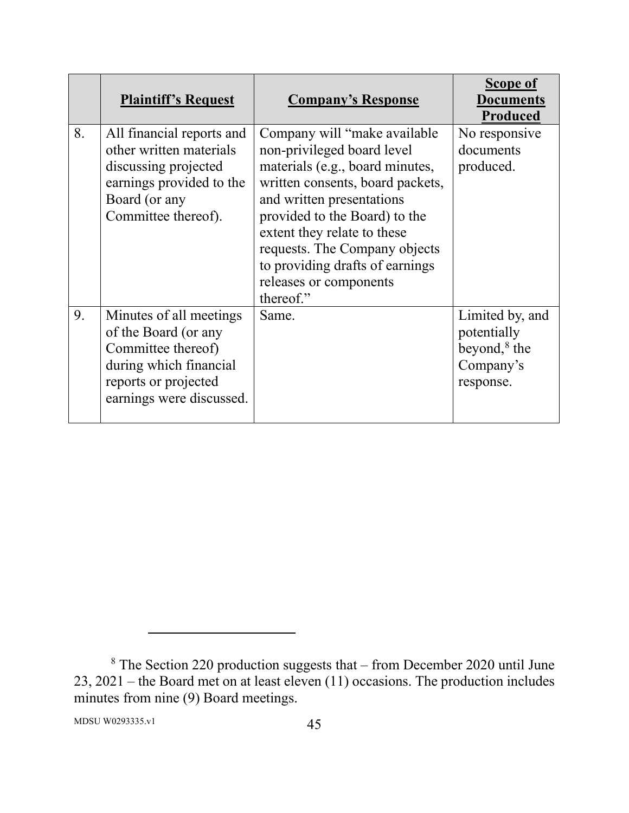|    | <b>Plaintiff's Request</b>                                                                                                                          | <b>Company's Response</b>                                                                                                                                                                                                                                                                                                                  | Scope of<br>Documents<br>Produced                                           |
|----|-----------------------------------------------------------------------------------------------------------------------------------------------------|--------------------------------------------------------------------------------------------------------------------------------------------------------------------------------------------------------------------------------------------------------------------------------------------------------------------------------------------|-----------------------------------------------------------------------------|
| 8. | All financial reports and<br>other written materials<br>discussing projected<br>earnings provided to the<br>Board (or any<br>Committee thereof).    | Company will "make available"<br>non-privileged board level<br>materials (e.g., board minutes,<br>written consents, board packets,<br>and written presentations<br>provided to the Board) to the<br>extent they relate to these<br>requests. The Company objects<br>to providing drafts of earnings<br>releases or components<br>thereof." | No responsive<br>documents<br>produced.                                     |
| 9. | Minutes of all meetings<br>of the Board (or any<br>Committee thereof)<br>during which financial<br>reports or projected<br>earnings were discussed. | Same.                                                                                                                                                                                                                                                                                                                                      | Limited by, and<br>potentially<br>beyond, $8$ the<br>Company's<br>response. |

 $8$  The Section 220 production suggests that – from December 2020 until June 23, 2021 – the Board met on at least eleven  $(11)$  occasions. The production includes minutes from nine (9) Board meetings.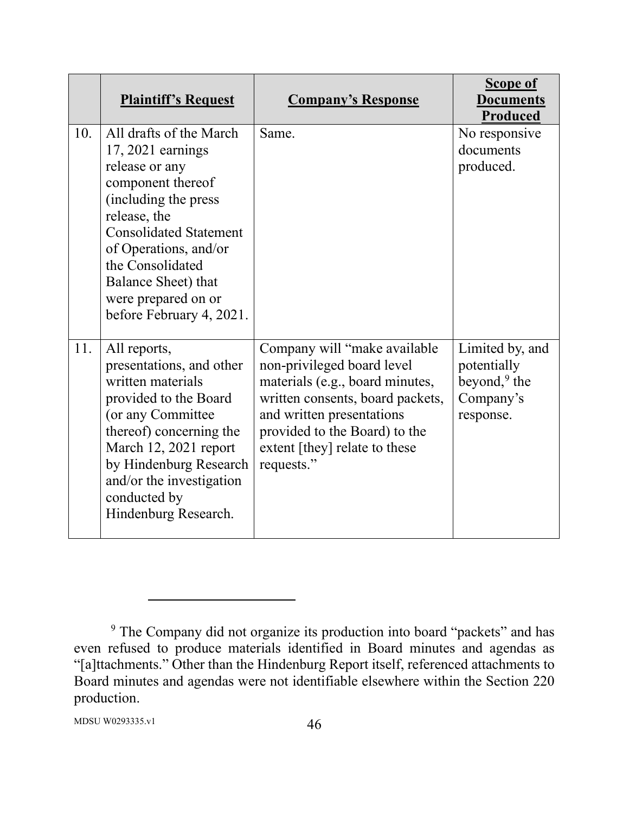|     | <b>Plaintiff's Request</b>                                                                                                                                                                                                                                                           | <b>Company's Response</b>                                                                                                                                                                                                                      | <b>Scope of</b><br><b>Documents</b><br><b>Produced</b>                      |
|-----|--------------------------------------------------------------------------------------------------------------------------------------------------------------------------------------------------------------------------------------------------------------------------------------|------------------------------------------------------------------------------------------------------------------------------------------------------------------------------------------------------------------------------------------------|-----------------------------------------------------------------------------|
| 10. | All drafts of the March<br>$17,2021$ earnings<br>release or any<br>component thereof<br>(including the press<br>release, the<br><b>Consolidated Statement</b><br>of Operations, and/or<br>the Consolidated<br>Balance Sheet) that<br>were prepared on or<br>before February 4, 2021. | Same.                                                                                                                                                                                                                                          | No responsive<br>documents<br>produced.                                     |
| 11. | All reports,<br>presentations, and other<br>written materials<br>provided to the Board<br>(or any Committee<br>thereof) concerning the<br>March 12, 2021 report<br>by Hindenburg Research<br>and/or the investigation<br>conducted by<br>Hindenburg Research.                        | Company will "make available<br>non-privileged board level<br>materials (e.g., board minutes,<br>written consents, board packets,<br>and written presentations<br>provided to the Board) to the<br>extent [they] relate to these<br>requests." | Limited by, and<br>potentially<br>beyond, $9$ the<br>Company's<br>response. |

<sup>&</sup>lt;sup>9</sup> The Company did not organize its production into board "packets" and has even refused to produce materials identified in Board minutes and agendas as "[a]ttachments." Other than the Hindenburg Report itself, referenced attachments to Board minutes and agendas were not identifiable elsewhere within the Section 220 production.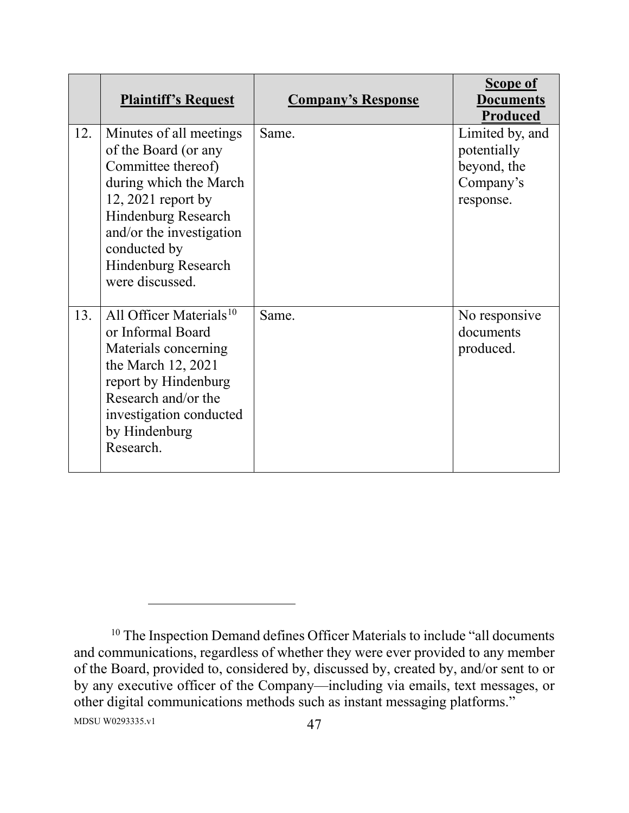|     | <b>Plaintiff's Request</b>                                                                                                                                                                                                          | <b>Company's Response</b> | <b>Scope of</b><br><b>Documents</b><br><b>Produced</b>                  |
|-----|-------------------------------------------------------------------------------------------------------------------------------------------------------------------------------------------------------------------------------------|---------------------------|-------------------------------------------------------------------------|
| 12. | Minutes of all meetings<br>of the Board (or any<br>Committee thereof)<br>during which the March<br>$12,2021$ report by<br>Hindenburg Research<br>and/or the investigation<br>conducted by<br>Hindenburg Research<br>were discussed. | Same.                     | Limited by, and<br>potentially<br>beyond, the<br>Company's<br>response. |
| 13. | All Officer Materials <sup>10</sup><br>or Informal Board<br>Materials concerning<br>the March 12, 2021<br>report by Hindenburg<br>Research and/or the<br>investigation conducted<br>by Hindenburg<br>Research.                      | Same.                     | No responsive<br>documents<br>produced.                                 |

MDSU W0293335.v1 47 <sup>10</sup> The Inspection Demand defines Officer Materials to include "all documents and communications, regardless of whether they were ever provided to any member of the Board, provided to, considered by, discussed by, created by, and/or sent to or by any executive officer of the Company—including via emails, text messages, or other digital communications methods such as instant messaging platforms."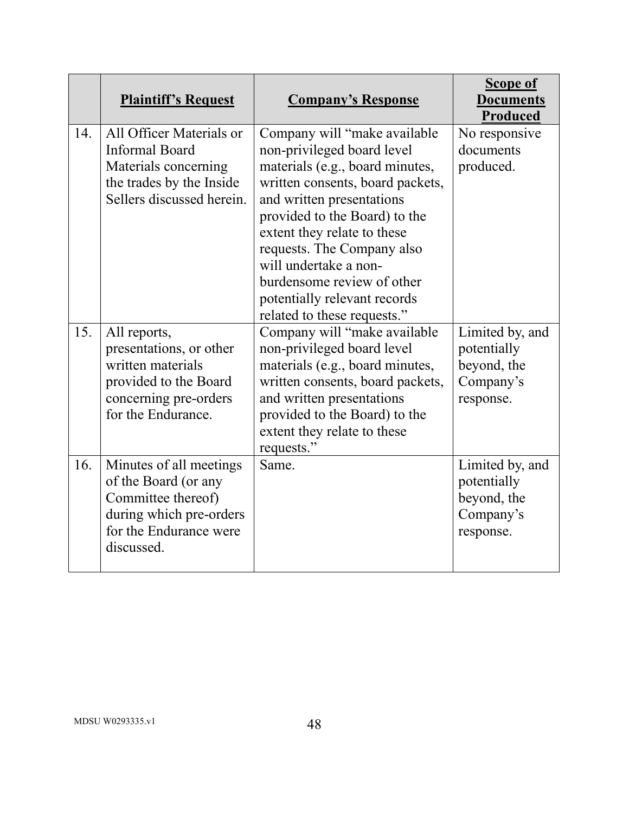|     | <b>Plaintiff's Request</b>                                                                                                               | <b>Company's Response</b>                                                                                                                                                                                                                                                                                                                                                           | <b>Scope of</b><br><b>Documents</b><br>Produced                         |
|-----|------------------------------------------------------------------------------------------------------------------------------------------|-------------------------------------------------------------------------------------------------------------------------------------------------------------------------------------------------------------------------------------------------------------------------------------------------------------------------------------------------------------------------------------|-------------------------------------------------------------------------|
| 14. | All Officer Materials or<br><b>Informal Board</b><br>Materials concerning<br>the trades by the Inside<br>Sellers discussed herein.       | Company will "make available"<br>non-privileged board level<br>materials (e.g., board minutes,<br>written consents, board packets,<br>and written presentations<br>provided to the Board) to the<br>extent they relate to these<br>requests. The Company also<br>will undertake a non-<br>burdensome review of other<br>potentially relevant records<br>related to these requests." | No responsive<br>documents<br>produced.                                 |
| 15. | All reports,<br>presentations, or other<br>written materials<br>provided to the Board<br>concerning pre-orders<br>for the Endurance.     | Company will "make available<br>non-privileged board level<br>materials (e.g., board minutes,<br>written consents, board packets,<br>and written presentations<br>provided to the Board) to the<br>extent they relate to these<br>requests."                                                                                                                                        | Limited by, and<br>potentially<br>beyond, the<br>Company's<br>response. |
| 16. | Minutes of all meetings<br>of the Board (or any<br>Committee thereof)<br>during which pre-orders<br>for the Endurance were<br>discussed. | Same.                                                                                                                                                                                                                                                                                                                                                                               | Limited by, and<br>potentially<br>beyond, the<br>Company's<br>response. |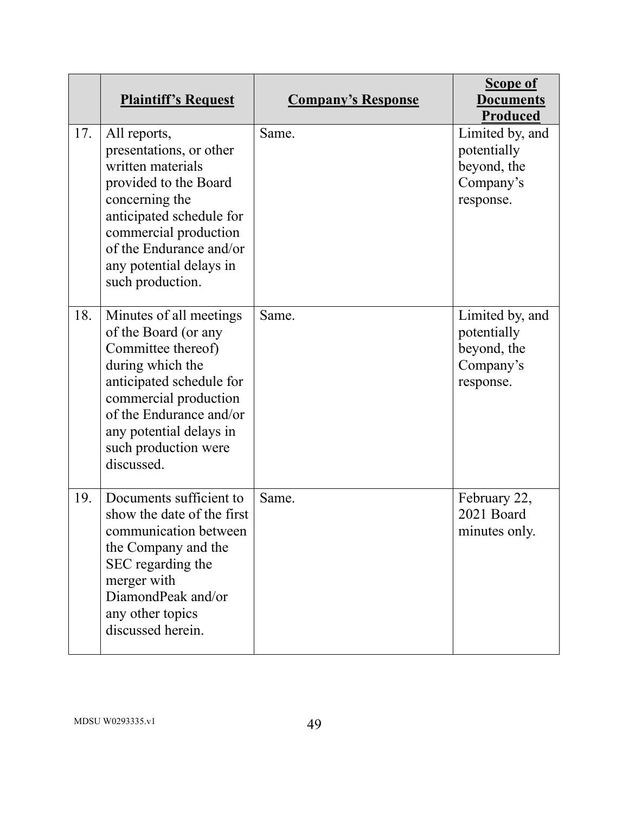|     | <b>Plaintiff's Request</b>                                                                                                                                                                                                                 | <b>Company's Response</b> | <b>Scope of</b><br><b>Documents</b><br>Produced                         |
|-----|--------------------------------------------------------------------------------------------------------------------------------------------------------------------------------------------------------------------------------------------|---------------------------|-------------------------------------------------------------------------|
| 17. | All reports,<br>presentations, or other<br>written materials<br>provided to the Board<br>concerning the<br>anticipated schedule for<br>commercial production<br>of the Endurance and/or<br>any potential delays in<br>such production.     | Same.                     | Limited by, and<br>potentially<br>beyond, the<br>Company's<br>response. |
| 18. | Minutes of all meetings<br>of the Board (or any<br>Committee thereof)<br>during which the<br>anticipated schedule for<br>commercial production<br>of the Endurance and/or<br>any potential delays in<br>such production were<br>discussed. | Same.                     | Limited by, and<br>potentially<br>beyond, the<br>Company's<br>response. |
| 19. | Documents sufficient to<br>show the date of the first<br>communication between<br>the Company and the<br>SEC regarding the<br>merger with<br>DiamondPeak and/or<br>any other topics<br>discussed herein.                                   | Same.                     | February 22,<br>2021 Board<br>minutes only.                             |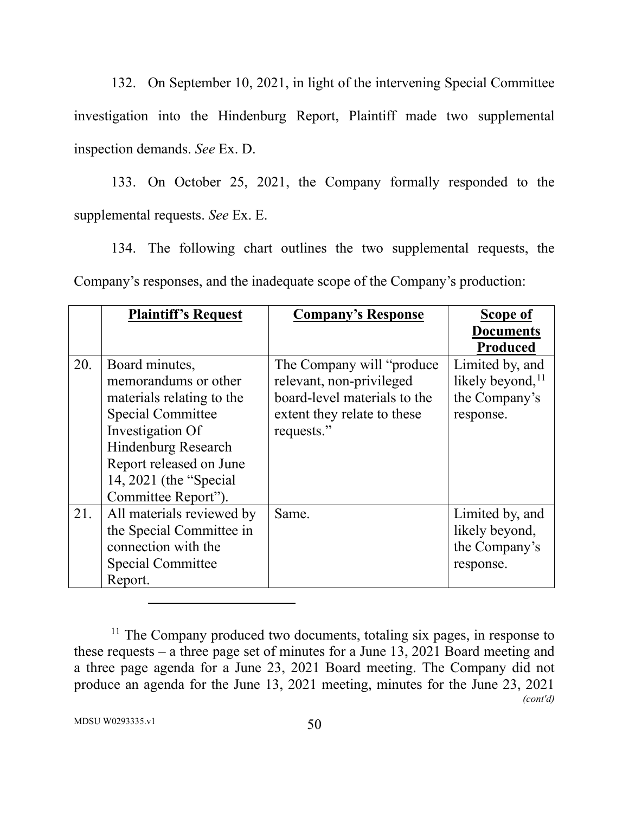132. On September 10, 2021, in light of the intervening Special Committee investigation into the Hindenburg Report, Plaintiff made two supplemental inspection demands. *See* Ex. D.

133. On October 25, 2021, the Company formally responded to the supplemental requests. *See* Ex. E.

134. The following chart outlines the two supplemental requests, the Company's responses, and the inadequate scope of the Company's production:

|     | <b>Plaintiff's Request</b> | <b>Company's Response</b>    | Scope of               |
|-----|----------------------------|------------------------------|------------------------|
|     |                            |                              | <b>Documents</b>       |
|     |                            |                              | <b>Produced</b>        |
| 20. | Board minutes,             | The Company will "produce"   | Limited by, and        |
|     | memorandums or other       | relevant, non-privileged     | likely beyond, $^{11}$ |
|     | materials relating to the  | board-level materials to the | the Company's          |
|     | <b>Special Committee</b>   | extent they relate to these  | response.              |
|     | Investigation Of           | requests."                   |                        |
|     | Hindenburg Research        |                              |                        |
|     | Report released on June    |                              |                        |
|     | 14, 2021 (the "Special     |                              |                        |
|     | Committee Report").        |                              |                        |
| 21. | All materials reviewed by  | Same.                        | Limited by, and        |
|     | the Special Committee in   |                              | likely beyond,         |
|     | connection with the        |                              | the Company's          |
|     | <b>Special Committee</b>   |                              | response.              |
|     | Report.                    |                              |                        |

 $11$  The Company produced two documents, totaling six pages, in response to these requests – a three page set of minutes for a June 13, 2021 Board meeting and a three page agenda for a June 23, 2021 Board meeting. The Company did not produce an agenda for the June 13, 2021 meeting, minutes for the June 23, 2021 *(cont'd)*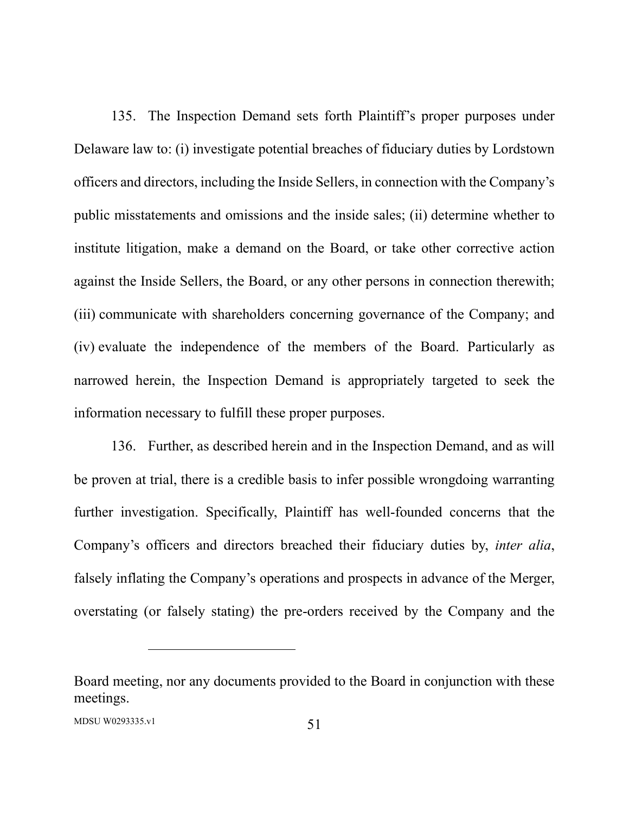135. The Inspection Demand sets forth Plaintiff's proper purposes under Delaware law to: (i) investigate potential breaches of fiduciary duties by Lordstown officers and directors, including the Inside Sellers, in connection with the Company's public misstatements and omissions and the inside sales; (ii) determine whether to institute litigation, make a demand on the Board, or take other corrective action against the Inside Sellers, the Board, or any other persons in connection therewith; (iii) communicate with shareholders concerning governance of the Company; and (iv) evaluate the independence of the members of the Board. Particularly as narrowed herein, the Inspection Demand is appropriately targeted to seek the information necessary to fulfill these proper purposes.

136. Further, as described herein and in the Inspection Demand, and as will be proven at trial, there is a credible basis to infer possible wrongdoing warranting further investigation. Specifically, Plaintiff has well-founded concerns that the Company's officers and directors breached their fiduciary duties by, *inter alia*, falsely inflating the Company's operations and prospects in advance of the Merger, overstating (or falsely stating) the pre-orders received by the Company and the

Board meeting, nor any documents provided to the Board in conjunction with these meetings.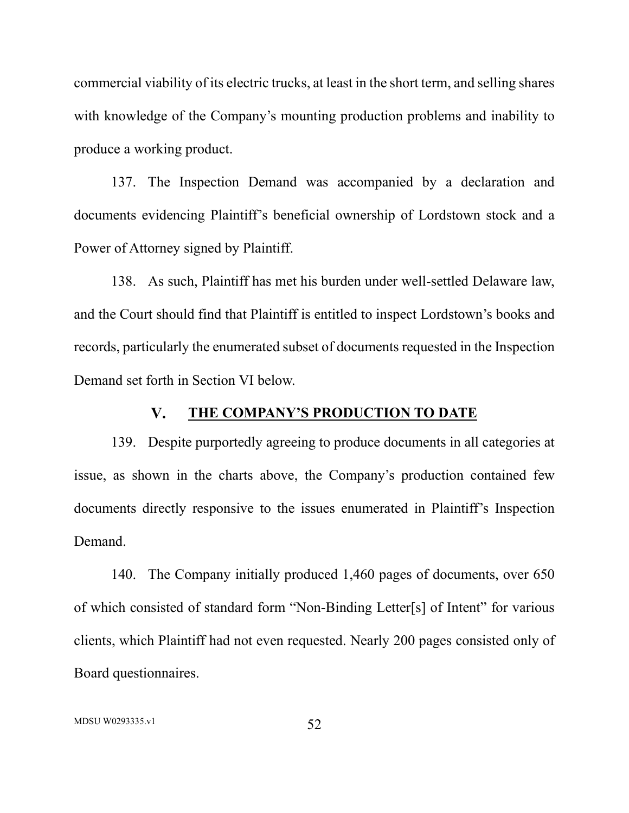commercial viability of its electric trucks, at least in the short term, and selling shares with knowledge of the Company's mounting production problems and inability to produce a working product.

137. The Inspection Demand was accompanied by a declaration and documents evidencing Plaintiff's beneficial ownership of Lordstown stock and a Power of Attorney signed by Plaintiff.

138. As such, Plaintiff has met his burden under well-settled Delaware law, and the Court should find that Plaintiff is entitled to inspect Lordstown's books and records, particularly the enumerated subset of documents requested in the Inspection Demand set forth in Section VI below.

#### $V_{\star}$ **THE COMPANY'S PRODUCTION TO DATE**

139. Despite purportedly agreeing to produce documents in all categories at issue, as shown in the charts above, the Company's production contained few documents directly responsive to the issues enumerated in Plaintiff's Inspection Demand.

140. The Company initially produced 1,460 pages of documents, over 650 of which consisted of standard form "Non-Binding Letter[s] of Intent" for various clients, which Plaintiff had not even requested. Nearly 200 pages consisted only of Board questionnaires.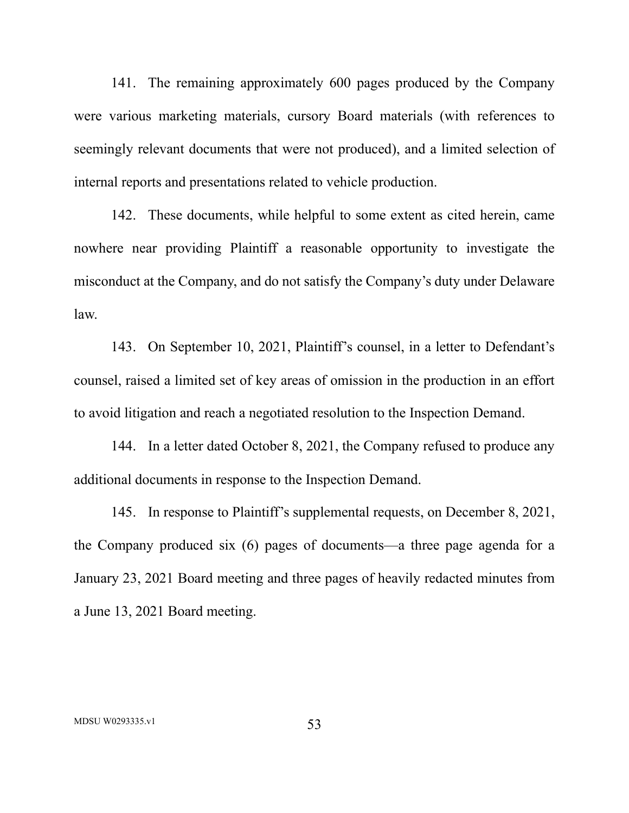141. The remaining approximately 600 pages produced by the Company were various marketing materials, cursory Board materials (with references to seemingly relevant documents that were not produced), and a limited selection of internal reports and presentations related to vehicle production.

142. These documents, while helpful to some extent as cited herein, came nowhere near providing Plaintiff a reasonable opportunity to investigate the misconduct at the Company, and do not satisfy the Company's duty under Delaware law.

143. On September 10, 2021, Plaintiff's counsel, in a letter to Defendant's counsel, raised a limited set of key areas of omission in the production in an effort to avoid litigation and reach a negotiated resolution to the Inspection Demand.

144. In a letter dated October 8, 2021, the Company refused to produce any additional documents in response to the Inspection Demand.

145. In response to Plaintiff's supplemental requests, on December 8, 2021, the Company produced six (6) pages of documents—a three page agenda for a January 23, 2021 Board meeting and three pages of heavily redacted minutes from a June 13, 2021 Board meeting.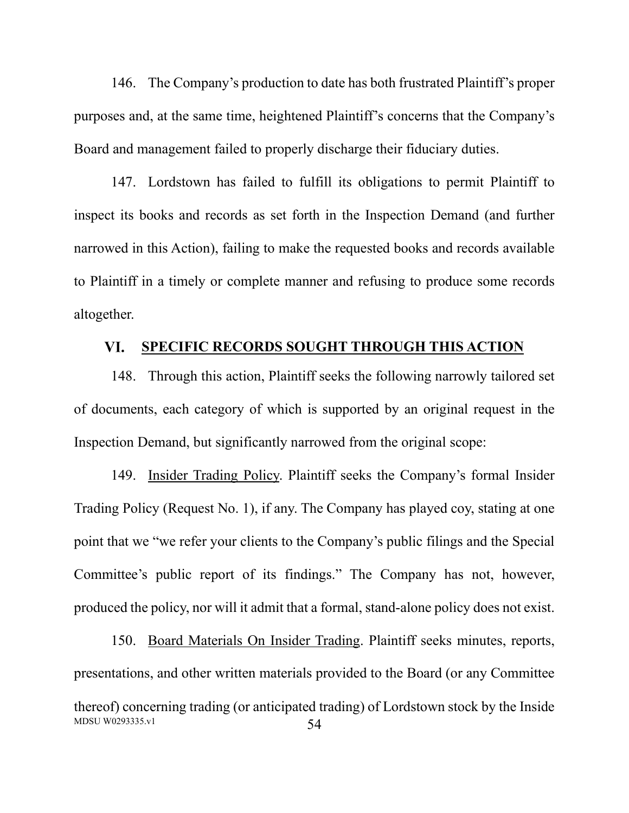146. The Company's production to date has both frustrated Plaintiff's proper purposes and, at the same time, heightened Plaintiff's concerns that the Company's Board and management failed to properly discharge their fiduciary duties.

147. Lordstown has failed to fulfill its obligations to permit Plaintiff to inspect its books and records as set forth in the Inspection Demand (and further narrowed in this Action), failing to make the requested books and records available to Plaintiff in a timely or complete manner and refusing to produce some records altogether.

#### **SPECIFIC RECORDS SOUGHT THROUGH THIS ACTION** VI.

148. Through this action, Plaintiff seeks the following narrowly tailored set of documents, each category of which is supported by an original request in the Inspection Demand, but significantly narrowed from the original scope:

149. Insider Trading Policy. Plaintiff seeks the Company's formal Insider Trading Policy (Request No. 1), if any. The Company has played coy, stating at one point that we "we refer your clients to the Company's public filings and the Special Committee's public report of its findings." The Company has not, however, produced the policy, nor will it admit that a formal, stand-alone policy does not exist.

MDSU W0293335.v1 54 150. Board Materials On Insider Trading. Plaintiff seeks minutes, reports, presentations, and other written materials provided to the Board (or any Committee thereof) concerning trading (or anticipated trading) of Lordstown stock by the Inside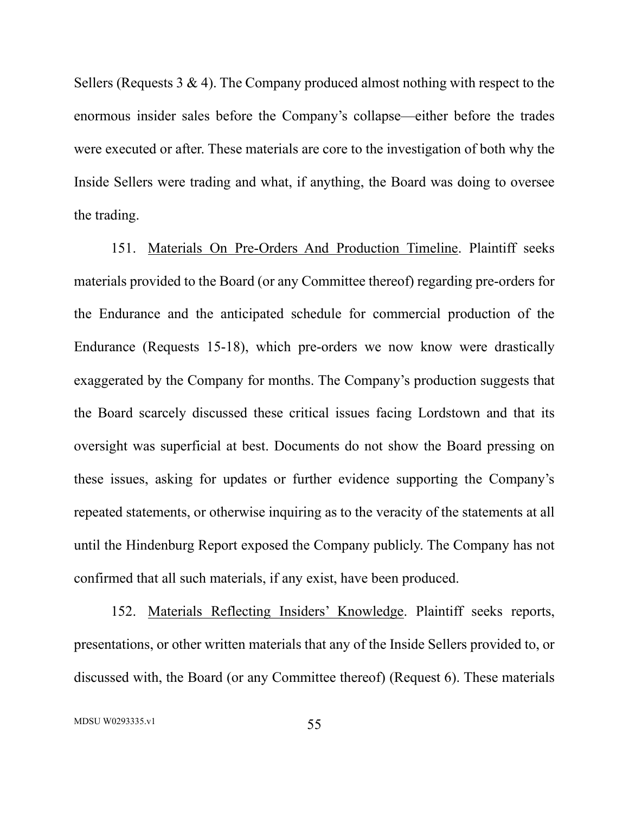Sellers (Requests 3 & 4). The Company produced almost nothing with respect to the enormous insider sales before the Company's collapse—either before the trades were executed or after. These materials are core to the investigation of both why the Inside Sellers were trading and what, if anything, the Board was doing to oversee the trading.

151. Materials On Pre-Orders And Production Timeline. Plaintiff seeks materials provided to the Board (or any Committee thereof) regarding pre-orders for the Endurance and the anticipated schedule for commercial production of the Endurance (Requests 15-18), which pre-orders we now know were drastically exaggerated by the Company for months. The Company's production suggests that the Board scarcely discussed these critical issues facing Lordstown and that its oversight was superficial at best. Documents do not show the Board pressing on these issues, asking for updates or further evidence supporting the Company's repeated statements, or otherwise inquiring as to the veracity of the statements at all until the Hindenburg Report exposed the Company publicly. The Company has not confirmed that all such materials, if any exist, have been produced.

152. Materials Reflecting Insiders' Knowledge. Plaintiff seeks reports, presentations, or other written materials that any of the Inside Sellers provided to, or discussed with, the Board (or any Committee thereof) (Request 6). These materials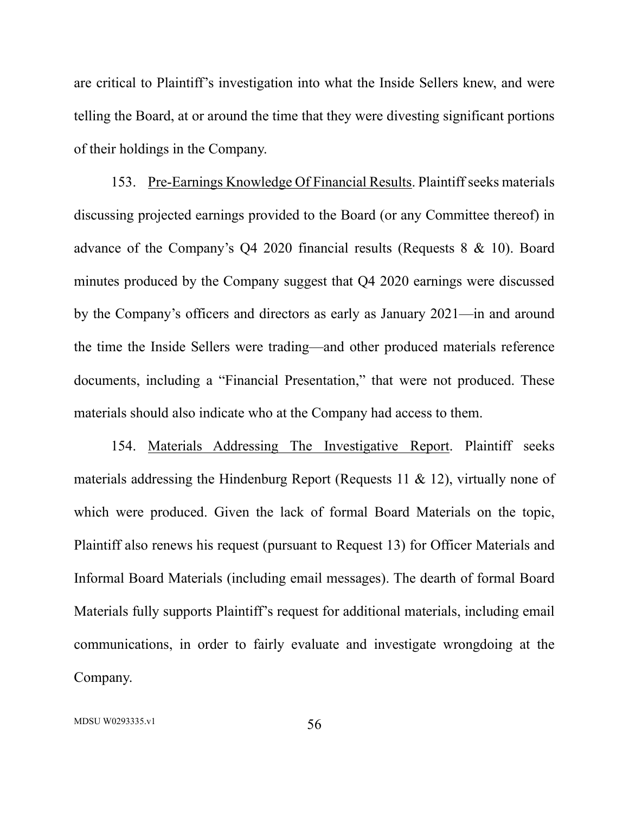are critical to Plaintiff's investigation into what the Inside Sellers knew, and were telling the Board, at or around the time that they were divesting significant portions of their holdings in the Company.

153. Pre-Earnings Knowledge Of Financial Results. Plaintiff seeks materials discussing projected earnings provided to the Board (or any Committee thereof) in advance of the Company's Q4 2020 financial results (Requests 8 & 10). Board minutes produced by the Company suggest that Q4 2020 earnings were discussed by the Company's officers and directors as early as January 2021—in and around the time the Inside Sellers were trading—and other produced materials reference documents, including a "Financial Presentation," that were not produced. These materials should also indicate who at the Company had access to them.

154. Materials Addressing The Investigative Report. Plaintiff seeks materials addressing the Hindenburg Report (Requests 11 & 12), virtually none of which were produced. Given the lack of formal Board Materials on the topic, Plaintiff also renews his request (pursuant to Request 13) for Officer Materials and Informal Board Materials (including email messages). The dearth of formal Board Materials fully supports Plaintiff's request for additional materials, including email communications, in order to fairly evaluate and investigate wrongdoing at the Company.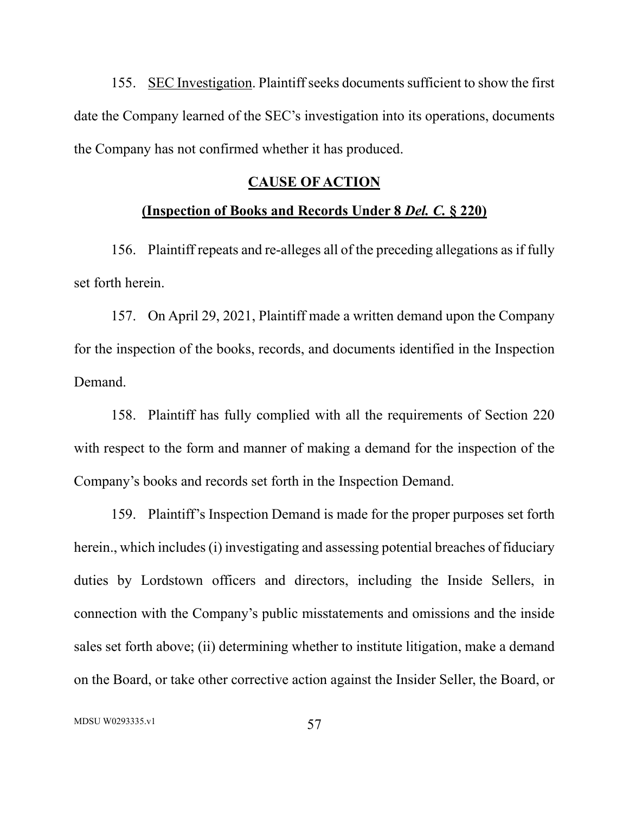155. SEC Investigation. Plaintiff seeks documents sufficient to show the first date the Company learned of the SEC's investigation into its operations, documents the Company has not confirmed whether it has produced.

### **CAUSE OF ACTION**

### **(Inspection of Books and Records Under 8** *Del. C.* **§ 220)**

156. Plaintiff repeats and re-alleges all of the preceding allegations as if fully set forth herein.

157. On April 29, 2021, Plaintiff made a written demand upon the Company for the inspection of the books, records, and documents identified in the Inspection Demand.

158. Plaintiff has fully complied with all the requirements of Section 220 with respect to the form and manner of making a demand for the inspection of the Company's books and records set forth in the Inspection Demand.

159. Plaintiff's Inspection Demand is made for the proper purposes set forth herein., which includes (i) investigating and assessing potential breaches of fiduciary duties by Lordstown officers and directors, including the Inside Sellers, in connection with the Company's public misstatements and omissions and the inside sales set forth above; (ii) determining whether to institute litigation, make a demand on the Board, or take other corrective action against the Insider Seller, the Board, or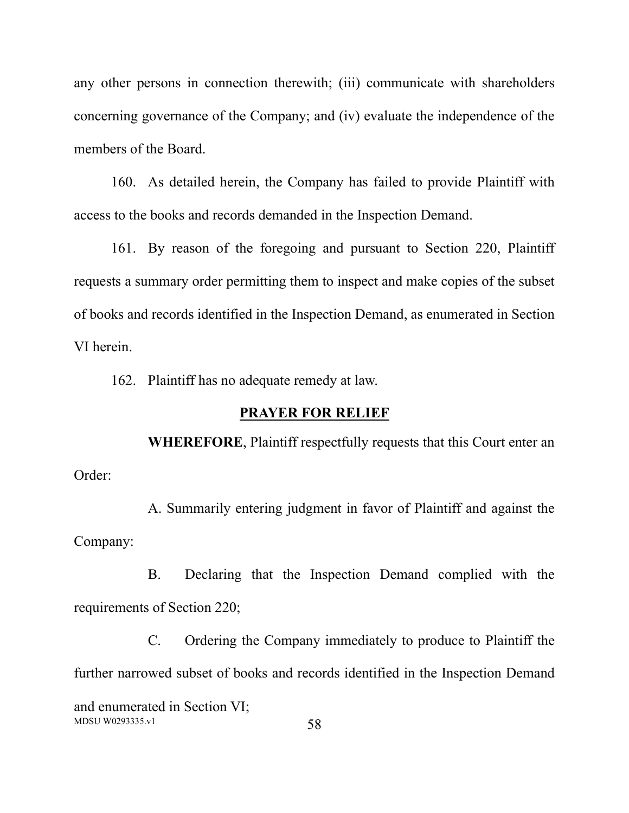any other persons in connection therewith; (iii) communicate with shareholders concerning governance of the Company; and (iv) evaluate the independence of the members of the Board.

160. As detailed herein, the Company has failed to provide Plaintiff with access to the books and records demanded in the Inspection Demand.

161. By reason of the foregoing and pursuant to Section 220, Plaintiff requests a summary order permitting them to inspect and make copies of the subset of books and records identified in the Inspection Demand, as enumerated in Section VI herein.

162. Plaintiff has no adequate remedy at law.

## **PRAYER FOR RELIEF**

**WHEREFORE**, Plaintiff respectfully requests that this Court enter an Order:

A. Summarily entering judgment in favor of Plaintiff and against the Company:

B. Declaring that the Inspection Demand complied with the requirements of Section 220;

 $MDSU W0293335.v1$  58 C. Ordering the Company immediately to produce to Plaintiff the further narrowed subset of books and records identified in the Inspection Demand and enumerated in Section VI;